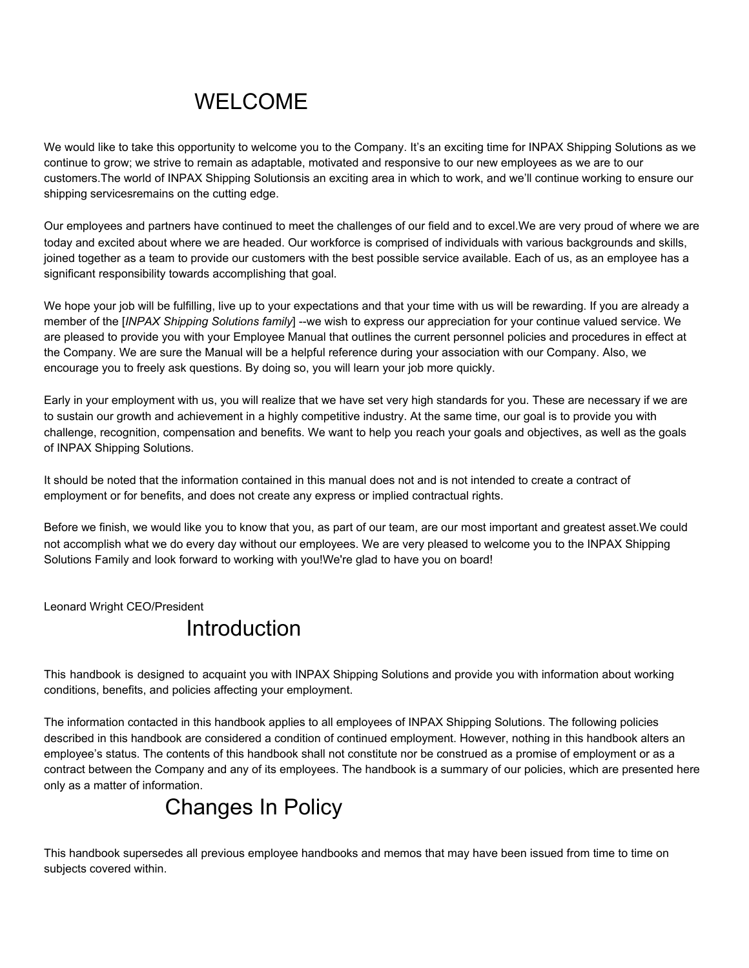# WELCOME

We would like to take this opportunity to welcome you to the Company. It's an exciting time for INPAX Shipping Solutions as we continue to grow; we strive to remain as adaptable, motivated and responsive to our new employees as we are to our customers.The world of INPAX Shipping Solutionsis an exciting area in which to work, and we'll continue working to ensure our shipping servicesremains on the cutting edge.

Our employees and partners have continued to meet the challenges of our field and to excel.We are very proud of where we are today and excited about where we are headed. Our workforce is comprised of individuals with various backgrounds and skills, joined together as a team to provide our customers with the best possible service available. Each of us, as an employee has a significant responsibility towards accomplishing that goal.

We hope your job will be fulfilling, live up to your expectations and that your time with us will be rewarding. If you are already a member of the [*INPAX Shipping Solutions family*] --we wish to express our appreciation for your continue valued service. We are pleased to provide you with your Employee Manual that outlines the current personnel policies and procedures in effect at the Company. We are sure the Manual will be a helpful reference during your association with our Company. Also, we encourage you to freely ask questions. By doing so, you will learn your job more quickly.

Early in your employment with us, you will realize that we have set very high standards for you. These are necessary if we are to sustain our growth and achievement in a highly competitive industry. At the same time, our goal is to provide you with challenge, recognition, compensation and benefits. We want to help you reach your goals and objectives, as well as the goals of INPAX Shipping Solutions.

It should be noted that the information contained in this manual does not and is not intended to create a contract of employment or for benefits, and does not create any express or implied contractual rights.

Before we finish, we would like you to know that you, as part of our team, are our most important and greatest asset.We could not accomplish what we do every day without our employees. We are very pleased to welcome you to the INPAX Shipping Solutions Family and look forward to working with you!We're glad to have you on board!

Leonard Wright CEO/President

### **Introduction**

This handbook is designed to acquaint you with INPAX Shipping Solutions and provide you with information about working conditions, benefits, and policies affecting your employment.

The information contacted in this handbook applies to all employees of INPAX Shipping Solutions. The following policies described in this handbook are considered a condition of continued employment. However, nothing in this handbook alters an employee's status. The contents of this handbook shall not constitute nor be construed as a promise of employment or as a contract between the Company and any of its employees. The handbook is a summary of our policies, which are presented here only as a matter of information.

# Changes In Policy

This handbook supersedes all previous employee handbooks and memos that may have been issued from time to time on subjects covered within.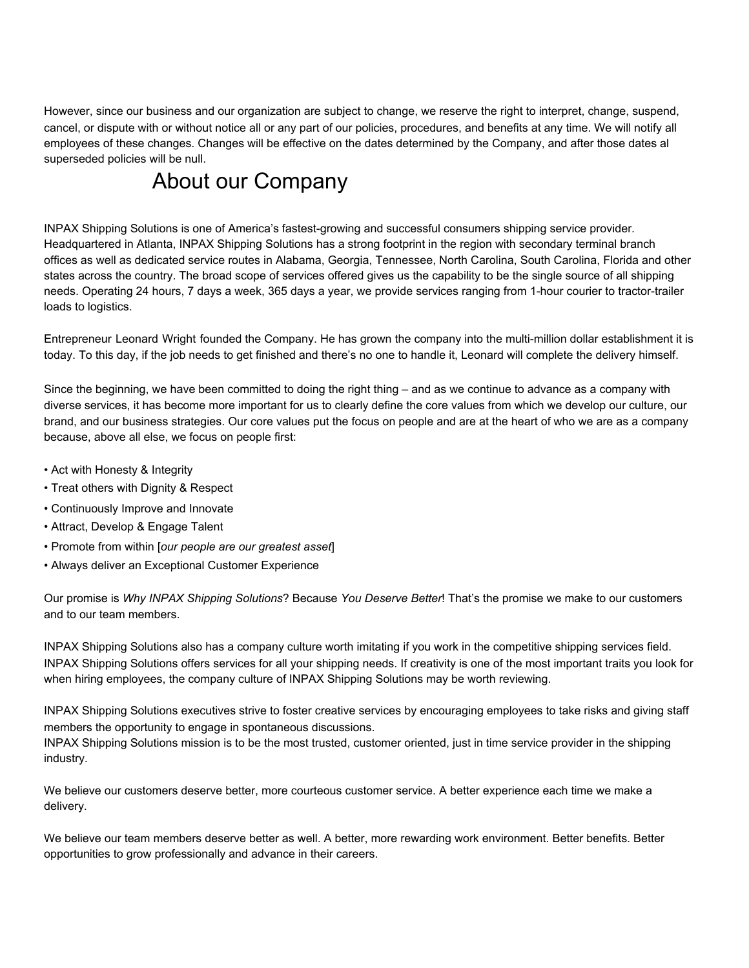However, since our business and our organization are subject to change, we reserve the right to interpret, change, suspend, cancel, or dispute with or without notice all or any part of our policies, procedures, and benefits at any time. We will notify all employees of these changes. Changes will be effective on the dates determined by the Company, and after those dates al superseded policies will be null.

# About our Company

INPAX Shipping Solutions is one of America's fastest-growing and successful consumers shipping service provider. Headquartered in Atlanta, INPAX Shipping Solutions has a strong footprint in the region with secondary terminal branch offices as well as dedicated service routes in Alabama, Georgia, Tennessee, North Carolina, South Carolina, Florida and other states across the country. The broad scope of services offered gives us the capability to be the single source of all shipping needs. Operating 24 hours, 7 days a week, 365 days a year, we provide services ranging from 1-hour courier to tractor-trailer loads to logistics.

Entrepreneur Leonard Wright founded the Company. He has grown the company into the multi-million dollar establishment it is today. To this day, if the job needs to get finished and there's no one to handle it, Leonard will complete the delivery himself.

Since the beginning, we have been committed to doing the right thing – and as we continue to advance as a company with diverse services, it has become more important for us to clearly define the core values from which we develop our culture, our brand, and our business strategies. Our core values put the focus on people and are at the heart of who we are as a company because, above all else, we focus on people first:

- Act with Honesty & Integrity
- Treat others with Dignity & Respect
- Continuously Improve and Innovate
- Attract, Develop & Engage Talent
- Promote from within [*our people are our greatest asset*]
- Always deliver an Exceptional Customer Experience

Our promise is *Why INPAX Shipping Solutions*? Because *You Deserve Better*! That's the promise we make to our customers and to our team members.

INPAX Shipping Solutions also has a company culture worth imitating if you work in the competitive shipping services field. INPAX Shipping Solutions offers services for all your shipping needs. If creativity is one of the most important traits you look for when hiring employees, the company culture of INPAX Shipping Solutions may be worth reviewing.

INPAX Shipping Solutions executives strive to foster creative services by encouraging employees to take risks and giving staff members the opportunity to engage in spontaneous discussions.

INPAX Shipping Solutions mission is to be the most trusted, customer oriented, just in time service provider in the shipping industry.

We believe our customers deserve better, more courteous customer service. A better experience each time we make a delivery.

We believe our team members deserve better as well. A better, more rewarding work environment. Better benefits. Better opportunities to grow professionally and advance in their careers.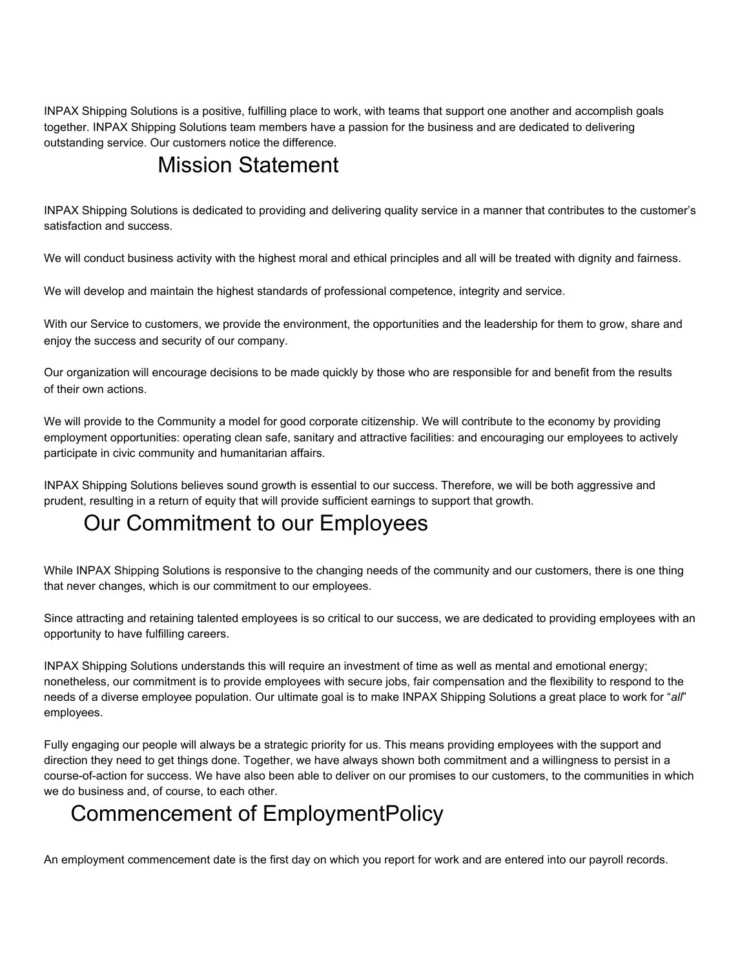INPAX Shipping Solutions is a positive, fulfilling place to work, with teams that support one another and accomplish goals together. INPAX Shipping Solutions team members have a passion for the business and are dedicated to delivering outstanding service. Our customers notice the difference.

## Mission Statement

INPAX Shipping Solutions is dedicated to providing and delivering quality service in a manner that contributes to the customer's satisfaction and success.

We will conduct business activity with the highest moral and ethical principles and all will be treated with dignity and fairness.

We will develop and maintain the highest standards of professional competence, integrity and service.

With our Service to customers, we provide the environment, the opportunities and the leadership for them to grow, share and enjoy the success and security of our company.

Our organization will encourage decisions to be made quickly by those who are responsible for and benefit from the results of their own actions.

We will provide to the Community a model for good corporate citizenship. We will contribute to the economy by providing employment opportunities: operating clean safe, sanitary and attractive facilities: and encouraging our employees to actively participate in civic community and humanitarian affairs.

INPAX Shipping Solutions believes sound growth is essential to our success. Therefore, we will be both aggressive and prudent, resulting in a return of equity that will provide sufficient earnings to support that growth.

## Our Commitment to our Employees

While INPAX Shipping Solutions is responsive to the changing needs of the community and our customers, there is one thing that never changes, which is our commitment to our employees.

Since attracting and retaining talented employees is so critical to our success, we are dedicated to providing employees with an opportunity to have fulfilling careers.

INPAX Shipping Solutions understands this will require an investment of time as well as mental and emotional energy; nonetheless, our commitment is to provide employees with secure jobs, fair compensation and the flexibility to respond to the needs of a diverse employee population. Our ultimate goal is to make INPAX Shipping Solutions a great place to work for "*all*" employees.

Fully engaging our people will always be a strategic priority for us. This means providing employees with the support and direction they need to get things done. Together, we have always shown both commitment and a willingness to persist in a course-of-action for success. We have also been able to deliver on our promises to our customers, to the communities in which we do business and, of course, to each other.

## Commencement of EmploymentPolicy

An employment commencement date is the first day on which you report for work and are entered into our payroll records.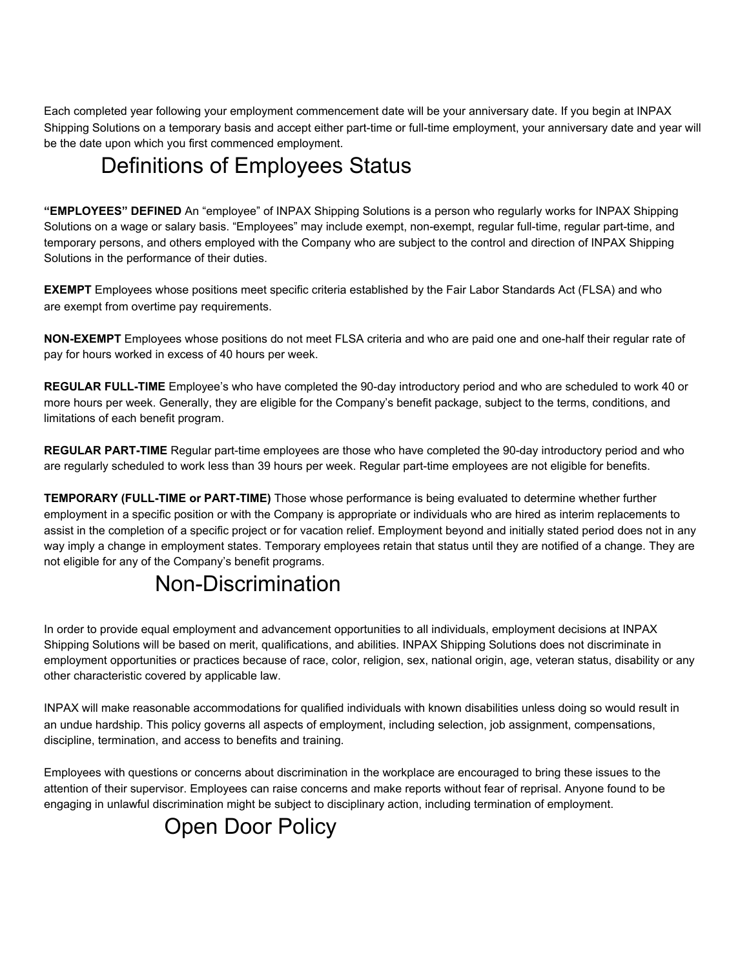Each completed year following your employment commencement date will be your anniversary date. If you begin at INPAX Shipping Solutions on a temporary basis and accept either part-time or full-time employment, your anniversary date and year will be the date upon which you first commenced employment.

# Definitions of Employees Status

**"EMPLOYEES" DEFINED** An "employee" of INPAX Shipping Solutions is a person who regularly works for INPAX Shipping Solutions on a wage or salary basis. "Employees" may include exempt, non-exempt, regular full-time, regular part-time, and temporary persons, and others employed with the Company who are subject to the control and direction of INPAX Shipping Solutions in the performance of their duties.

**EXEMPT** Employees whose positions meet specific criteria established by the Fair Labor Standards Act (FLSA) and who are exempt from overtime pay requirements.

**NON-EXEMPT** Employees whose positions do not meet FLSA criteria and who are paid one and one-half their regular rate of pay for hours worked in excess of 40 hours per week.

**REGULAR FULL-TIME** Employee's who have completed the 90-day introductory period and who are scheduled to work 40 or more hours per week. Generally, they are eligible for the Company's benefit package, subject to the terms, conditions, and limitations of each benefit program.

**REGULAR PART-TIME** Regular part-time employees are those who have completed the 90-day introductory period and who are regularly scheduled to work less than 39 hours per week. Regular part-time employees are not eligible for benefits.

**TEMPORARY (FULL-TIME or PART-TIME)** Those whose performance is being evaluated to determine whether further employment in a specific position or with the Company is appropriate or individuals who are hired as interim replacements to assist in the completion of a specific project or for vacation relief. Employment beyond and initially stated period does not in any way imply a change in employment states. Temporary employees retain that status until they are notified of a change. They are not eligible for any of the Company's benefit programs.

## Non-Discrimination

In order to provide equal employment and advancement opportunities to all individuals, employment decisions at INPAX Shipping Solutions will be based on merit, qualifications, and abilities. INPAX Shipping Solutions does not discriminate in employment opportunities or practices because of race, color, religion, sex, national origin, age, veteran status, disability or any other characteristic covered by applicable law.

INPAX will make reasonable accommodations for qualified individuals with known disabilities unless doing so would result in an undue hardship. This policy governs all aspects of employment, including selection, job assignment, compensations, discipline, termination, and access to benefits and training.

Employees with questions or concerns about discrimination in the workplace are encouraged to bring these issues to the attention of their supervisor. Employees can raise concerns and make reports without fear of reprisal. Anyone found to be engaging in unlawful discrimination might be subject to disciplinary action, including termination of employment.

# Open Door Policy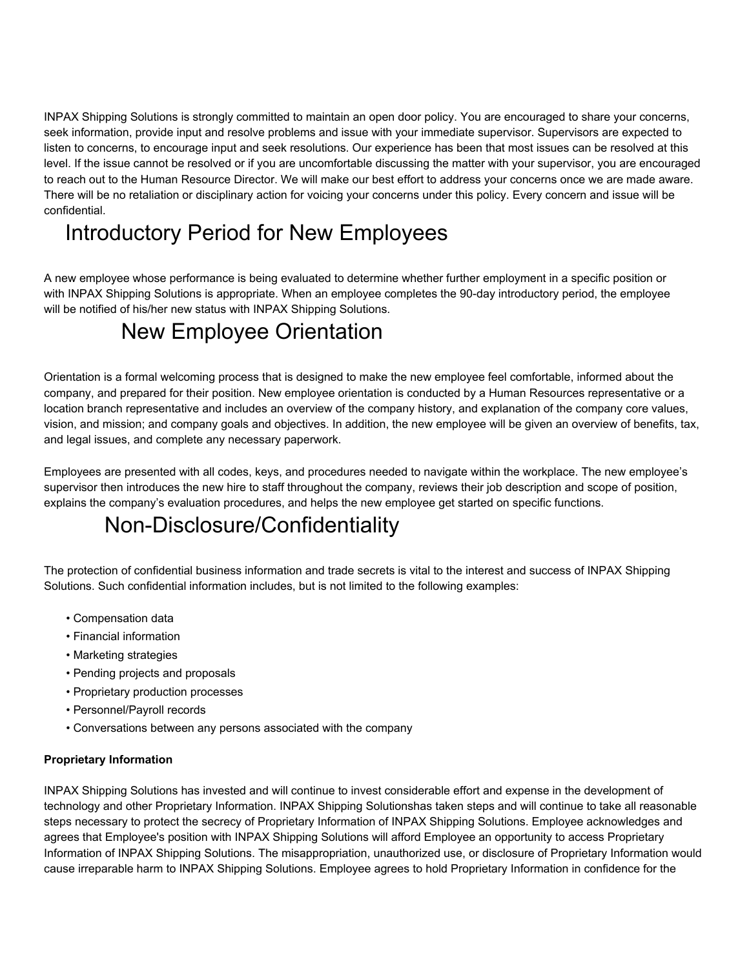INPAX Shipping Solutions is strongly committed to maintain an open door policy. You are encouraged to share your concerns, seek information, provide input and resolve problems and issue with your immediate supervisor. Supervisors are expected to listen to concerns, to encourage input and seek resolutions. Our experience has been that most issues can be resolved at this level. If the issue cannot be resolved or if you are uncomfortable discussing the matter with your supervisor, you are encouraged to reach out to the Human Resource Director. We will make our best effort to address your concerns once we are made aware. There will be no retaliation or disciplinary action for voicing your concerns under this policy. Every concern and issue will be confidential.

# Introductory Period for New Employees

A new employee whose performance is being evaluated to determine whether further employment in a specific position or with INPAX Shipping Solutions is appropriate. When an employee completes the 90-day introductory period, the employee will be notified of his/her new status with INPAX Shipping Solutions.

# New Employee Orientation

Orientation is a formal welcoming process that is designed to make the new employee feel comfortable, informed about the company, and prepared for their position. New employee orientation is conducted by a Human Resources representative or a location branch representative and includes an overview of the company history, and explanation of the company core values, vision, and mission; and company goals and objectives. In addition, the new employee will be given an overview of benefits, tax, and legal issues, and complete any necessary paperwork.

Employees are presented with all codes, keys, and procedures needed to navigate within the workplace. The new employee's supervisor then introduces the new hire to staff throughout the company, reviews their job description and scope of position, explains the company's evaluation procedures, and helps the new employee get started on specific functions.

# Non-Disclosure/Confidentiality

The protection of confidential business information and trade secrets is vital to the interest and success of INPAX Shipping Solutions. Such confidential information includes, but is not limited to the following examples:

- Compensation data
- Financial information
- Marketing strategies
- Pending projects and proposals
- Proprietary production processes
- Personnel/Payroll records
- Conversations between any persons associated with the company

### **Proprietary Information**

INPAX Shipping Solutions has invested and will continue to invest considerable effort and expense in the development of technology and other Proprietary Information. INPAX Shipping Solutionshas taken steps and will continue to take all reasonable steps necessary to protect the secrecy of Proprietary Information of INPAX Shipping Solutions. Employee acknowledges and agrees that Employee's position with INPAX Shipping Solutions will afford Employee an opportunity to access Proprietary Information of INPAX Shipping Solutions. The misappropriation, unauthorized use, or disclosure of Proprietary Information would cause irreparable harm to INPAX Shipping Solutions. Employee agrees to hold Proprietary Information in confidence for the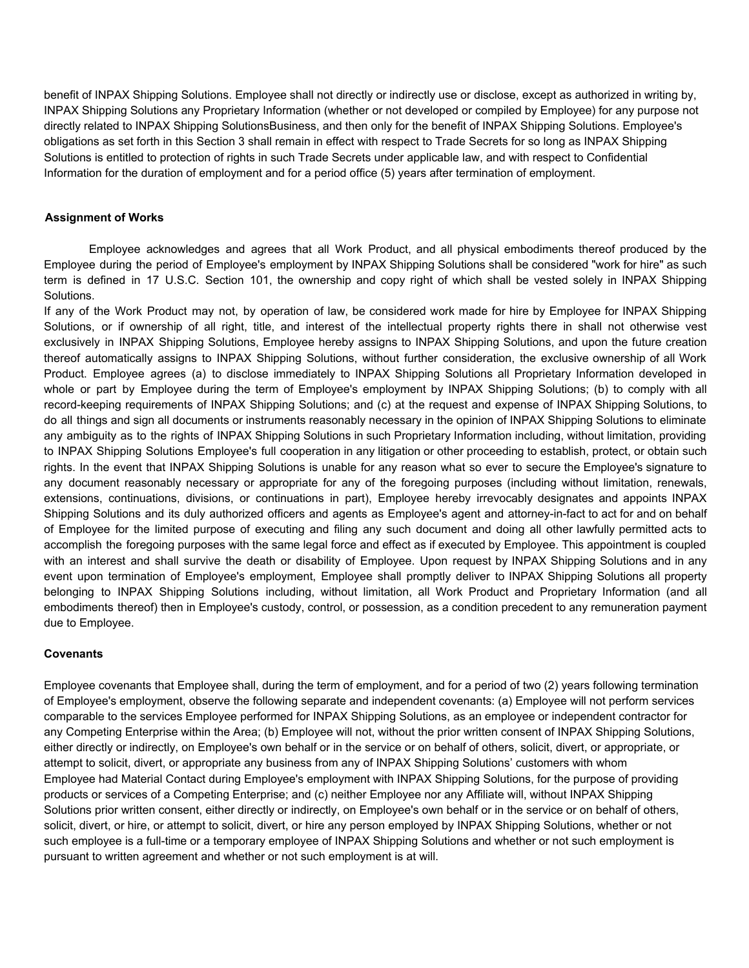benefit of INPAX Shipping Solutions. Employee shall not directly or indirectly use or disclose, except as authorized in writing by, INPAX Shipping Solutions any Proprietary Information (whether or not developed or compiled by Employee) for any purpose not directly related to INPAX Shipping SolutionsBusiness, and then only for the benefit of INPAX Shipping Solutions. Employee's obligations as set forth in this Section 3 shall remain in effect with respect to Trade Secrets for so long as INPAX Shipping Solutions is entitled to protection of rights in such Trade Secrets under applicable law, and with respect to Confidential Information for the duration of employment and for a period office (5) years after termination of employment.

#### **Assignment of Works**

Employee acknowledges and agrees that all Work Product, and all physical embodiments thereof produced by the Employee during the period of Employee's employment by INPAX Shipping Solutions shall be considered "work for hire" as such term is defined in 17 U.S.C. Section 101, the ownership and copy right of which shall be vested solely in INPAX Shipping Solutions.

If any of the Work Product may not, by operation of law, be considered work made for hire by Employee for INPAX Shipping Solutions, or if ownership of all right, title, and interest of the intellectual property rights there in shall not otherwise vest exclusively in INPAX Shipping Solutions, Employee hereby assigns to INPAX Shipping Solutions, and upon the future creation thereof automatically assigns to INPAX Shipping Solutions, without further consideration, the exclusive ownership of all Work Product. Employee agrees (a) to disclose immediately to INPAX Shipping Solutions all Proprietary Information developed in whole or part by Employee during the term of Employee's employment by INPAX Shipping Solutions; (b) to comply with all record-keeping requirements of INPAX Shipping Solutions; and (c) at the request and expense of INPAX Shipping Solutions, to do all things and sign all documents or instruments reasonably necessary in the opinion of INPAX Shipping Solutions to eliminate any ambiguity as to the rights of INPAX Shipping Solutions in such Proprietary Information including, without limitation, providing to INPAX Shipping Solutions Employee's full cooperation in any litigation or other proceeding to establish, protect, or obtain such rights. In the event that INPAX Shipping Solutions is unable for any reason what so ever to secure the Employee's signature to any document reasonably necessary or appropriate for any of the foregoing purposes (including without limitation, renewals, extensions, continuations, divisions, or continuations in part), Employee hereby irrevocably designates and appoints INPAX Shipping Solutions and its duly authorized officers and agents as Employee's agent and attorney-in-fact to act for and on behalf of Employee for the limited purpose of executing and filing any such document and doing all other lawfully permitted acts to accomplish the foregoing purposes with the same legal force and effect as if executed by Employee. This appointment is coupled with an interest and shall survive the death or disability of Employee. Upon request by INPAX Shipping Solutions and in any event upon termination of Employee's employment, Employee shall promptly deliver to INPAX Shipping Solutions all property belonging to INPAX Shipping Solutions including, without limitation, all Work Product and Proprietary Information (and all embodiments thereof) then in Employee's custody, control, or possession, as a condition precedent to any remuneration payment due to Employee.

### **Covenants**

Employee covenants that Employee shall, during the term of employment, and for a period of two (2) years following termination of Employee's employment, observe the following separate and independent covenants: (a) Employee will not perform services comparable to the services Employee performed for INPAX Shipping Solutions, as an employee or independent contractor for any Competing Enterprise within the Area; (b) Employee will not, without the prior written consent of INPAX Shipping Solutions, either directly or indirectly, on Employee's own behalf or in the service or on behalf of others, solicit, divert, or appropriate, or attempt to solicit, divert, or appropriate any business from any of INPAX Shipping Solutions' customers with whom Employee had Material Contact during Employee's employment with INPAX Shipping Solutions, for the purpose of providing products or services of a Competing Enterprise; and (c) neither Employee nor any Affiliate will, without INPAX Shipping Solutions prior written consent, either directly or indirectly, on Employee's own behalf or in the service or on behalf of others, solicit, divert, or hire, or attempt to solicit, divert, or hire any person employed by INPAX Shipping Solutions, whether or not such employee is a full-time or a temporary employee of INPAX Shipping Solutions and whether or not such employment is pursuant to written agreement and whether or not such employment is at will.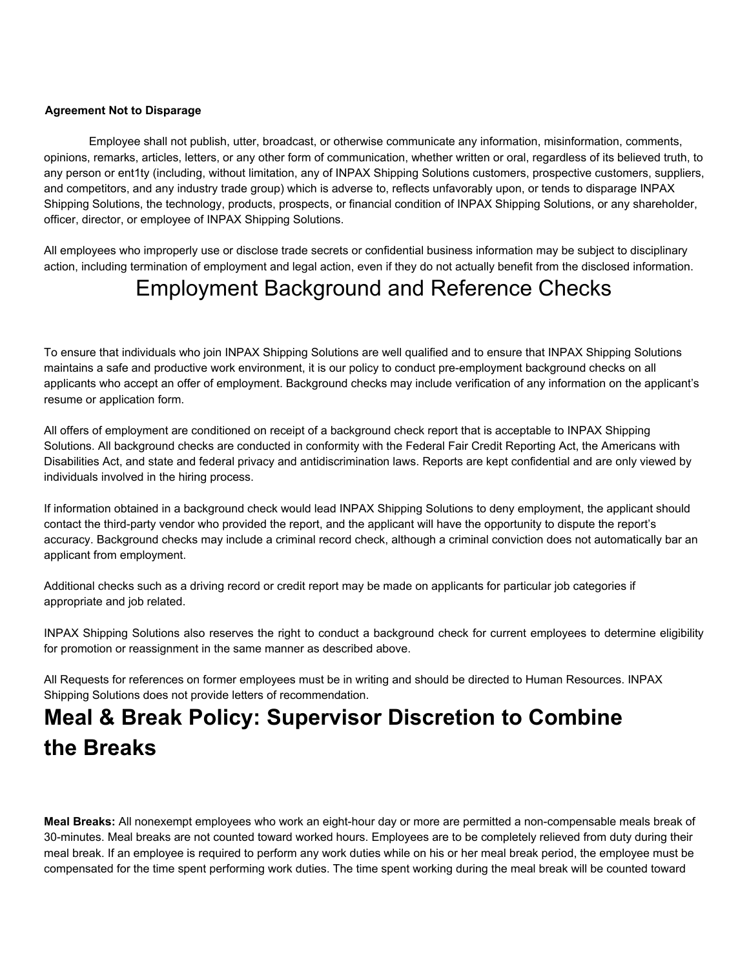### **Agreement Not to Disparage**

Employee shall not publish, utter, broadcast, or otherwise communicate any information, misinformation, comments, opinions, remarks, articles, letters, or any other form of communication, whether written or oral, regardless of its believed truth, to any person or ent1ty (including, without limitation, any of INPAX Shipping Solutions customers, prospective customers, suppliers, and competitors, and any industry trade group) which is adverse to, reflects unfavorably upon, or tends to disparage INPAX Shipping Solutions, the technology, products, prospects, or financial condition of INPAX Shipping Solutions, or any shareholder, officer, director, or employee of INPAX Shipping Solutions.

All employees who improperly use or disclose trade secrets or confidential business information may be subject to disciplinary action, including termination of employment and legal action, even if they do not actually benefit from the disclosed information.

# Employment Background and Reference Checks

To ensure that individuals who join INPAX Shipping Solutions are well qualified and to ensure that INPAX Shipping Solutions maintains a safe and productive work environment, it is our policy to conduct pre-employment background checks on all applicants who accept an offer of employment. Background checks may include verification of any information on the applicant's resume or application form.

All offers of employment are conditioned on receipt of a background check report that is acceptable to INPAX Shipping Solutions. All background checks are conducted in conformity with the Federal Fair Credit Reporting Act, the Americans with Disabilities Act, and state and federal privacy and antidiscrimination laws. Reports are kept confidential and are only viewed by individuals involved in the hiring process.

If information obtained in a background check would lead INPAX Shipping Solutions to deny employment, the applicant should contact the third-party vendor who provided the report, and the applicant will have the opportunity to dispute the report's accuracy. Background checks may include a criminal record check, although a criminal conviction does not automatically bar an applicant from employment.

Additional checks such as a driving record or credit report may be made on applicants for particular job categories if appropriate and job related.

INPAX Shipping Solutions also reserves the right to conduct a background check for current employees to determine eligibility for promotion or reassignment in the same manner as described above.

All Requests for references on former employees must be in writing and should be directed to Human Resources. INPAX Shipping Solutions does not provide letters of recommendation.

# **Meal & Break Policy: Supervisor Discretion to Combine the Breaks**

**Meal Breaks:** All nonexempt employees who work an eight-hour day or more are permitted a non-compensable meals break of 30-minutes. Meal breaks are not counted toward worked hours. Employees are to be completely relieved from duty during their meal break. If an employee is required to perform any work duties while on his or her meal break period, the employee must be compensated for the time spent performing work duties. The time spent working during the meal break will be counted toward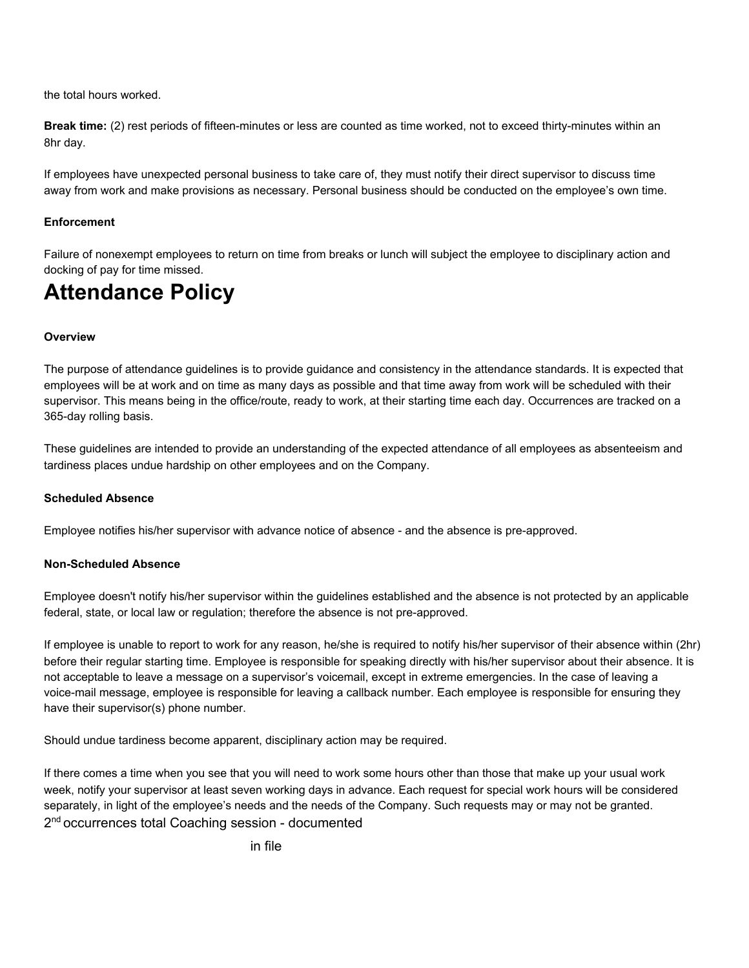the total hours worked.

**Break time:** (2) rest periods of fifteen-minutes or less are counted as time worked, not to exceed thirty-minutes within an 8hr day.

If employees have unexpected personal business to take care of, they must notify their direct supervisor to discuss time away from work and make provisions as necessary. Personal business should be conducted on the employee's own time.

### **Enforcement**

Failure of nonexempt employees to return on time from breaks or lunch will subject the employee to disciplinary action and docking of pay for time missed.

# **Attendance Policy**

### **Overview**

The purpose of attendance guidelines is to provide guidance and consistency in the attendance standards. It is expected that employees will be at work and on time as many days as possible and that time away from work will be scheduled with their supervisor. This means being in the office/route, ready to work, at their starting time each day. Occurrences are tracked on a 365-day rolling basis.

These guidelines are intended to provide an understanding of the expected attendance of all employees as absenteeism and tardiness places undue hardship on other employees and on the Company.

### **Scheduled Absence**

Employee notifies his/her supervisor with advance notice of absence - and the absence is pre-approved.

### **Non-Scheduled Absence**

Employee doesn't notify his/her supervisor within the guidelines established and the absence is not protected by an applicable federal, state, or local law or regulation; therefore the absence is not pre-approved.

If employee is unable to report to work for any reason, he/she is required to notify his/her supervisor of their absence within (2hr) before their regular starting time. Employee is responsible for speaking directly with his/her supervisor about their absence. It is not acceptable to leave a message on a supervisor's voicemail, except in extreme emergencies. In the case of leaving a voice-mail message, employee is responsible for leaving a callback number. Each employee is responsible for ensuring they have their supervisor(s) phone number.

Should undue tardiness become apparent, disciplinary action may be required.

If there comes a time when you see that you will need to work some hours other than those that make up your usual work week, notify your supervisor at least seven working days in advance. Each request for special work hours will be considered separately, in light of the employee's needs and the needs of the Company. Such requests may or may not be granted. 2<sup>nd</sup> occurrences total Coaching session - documented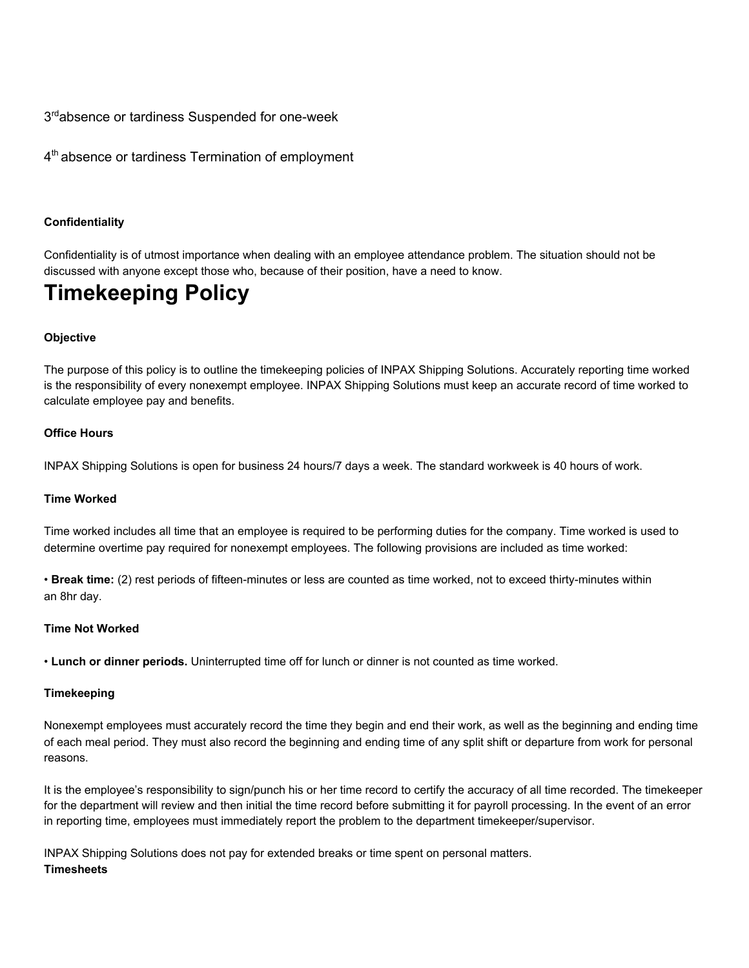3<sup>rd</sup>absence or tardiness Suspended for one-week

4<sup>th</sup> absence or tardiness Termination of employment

### **Confidentiality**

Confidentiality is of utmost importance when dealing with an employee attendance problem. The situation should not be discussed with anyone except those who, because of their position, have a need to know.

## **Timekeeping Policy**

### **Objective**

The purpose of this policy is to outline the timekeeping policies of INPAX Shipping Solutions. Accurately reporting time worked is the responsibility of every nonexempt employee. INPAX Shipping Solutions must keep an accurate record of time worked to calculate employee pay and benefits.

### **Office Hours**

INPAX Shipping Solutions is open for business 24 hours/7 days a week. The standard workweek is 40 hours of work.

### **Time Worked**

Time worked includes all time that an employee is required to be performing duties for the company. Time worked is used to determine overtime pay required for nonexempt employees. The following provisions are included as time worked:

• **Break time:** (2) rest periods of fifteen-minutes or less are counted as time worked, not to exceed thirty-minutes within an 8hr day.

### **Time Not Worked**

• **Lunch or dinner periods.** Uninterrupted time off for lunch or dinner is not counted as time worked.

### **Timekeeping**

Nonexempt employees must accurately record the time they begin and end their work, as well as the beginning and ending time of each meal period. They must also record the beginning and ending time of any split shift or departure from work for personal reasons.

It is the employee's responsibility to sign/punch his or her time record to certify the accuracy of all time recorded. The timekeeper for the department will review and then initial the time record before submitting it for payroll processing. In the event of an error in reporting time, employees must immediately report the problem to the department timekeeper/supervisor.

INPAX Shipping Solutions does not pay for extended breaks or time spent on personal matters. **Timesheets**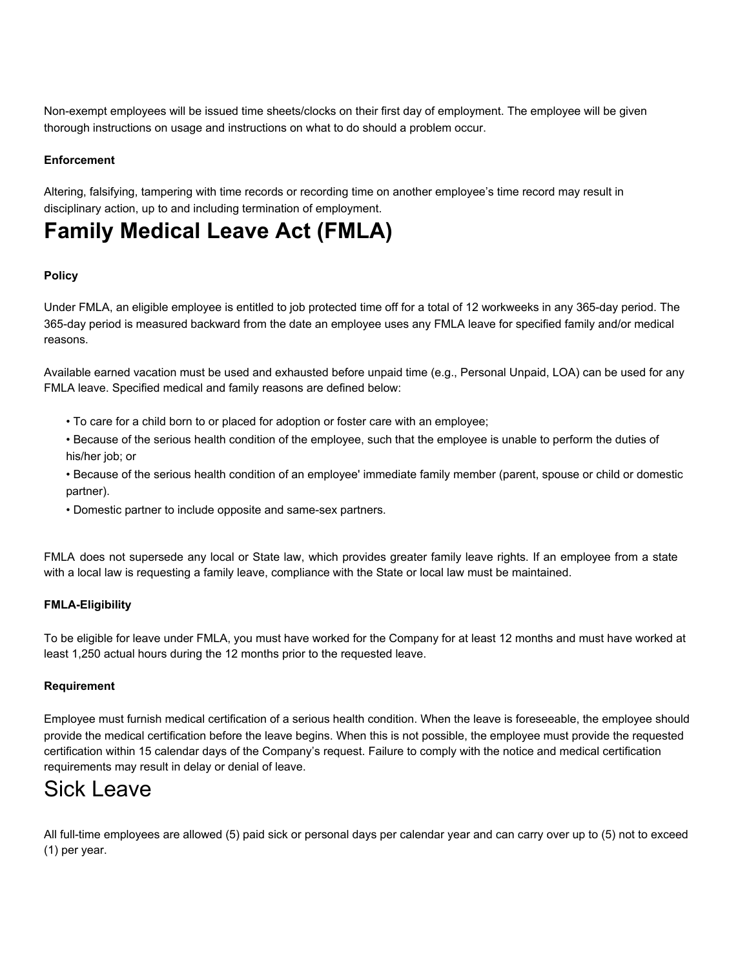Non-exempt employees will be issued time sheets/clocks on their first day of employment. The employee will be given thorough instructions on usage and instructions on what to do should a problem occur.

### **Enforcement**

Altering, falsifying, tampering with time records or recording time on another employee's time record may result in disciplinary action, up to and including termination of employment.

# **Family Medical Leave Act (FMLA)**

### **Policy**

Under FMLA, an eligible employee is entitled to job protected time off for a total of 12 workweeks in any 365-day period. The 365-day period is measured backward from the date an employee uses any FMLA leave for specified family and/or medical reasons.

Available earned vacation must be used and exhausted before unpaid time (e.g., Personal Unpaid, LOA) can be used for any FMLA leave. Specified medical and family reasons are defined below:

- To care for a child born to or placed for adoption or foster care with an employee;
- Because of the serious health condition of the employee, such that the employee is unable to perform the duties of his/her job; or
- Because of the serious health condition of an employee' immediate family member (parent, spouse or child or domestic partner).
- Domestic partner to include opposite and same-sex partners.

FMLA does not supersede any local or State law, which provides greater family leave rights. If an employee from a state with a local law is requesting a family leave, compliance with the State or local law must be maintained.

### **FMLA-Eligibility**

To be eligible for leave under FMLA, you must have worked for the Company for at least 12 months and must have worked at least 1,250 actual hours during the 12 months prior to the requested leave.

### **Requirement**

Employee must furnish medical certification of a serious health condition. When the leave is foreseeable, the employee should provide the medical certification before the leave begins. When this is not possible, the employee must provide the requested certification within 15 calendar days of the Company's request. Failure to comply with the notice and medical certification requirements may result in delay or denial of leave.

## Sick Leave

All full-time employees are allowed (5) paid sick or personal days per calendar year and can carry over up to (5) not to exceed (1) per year.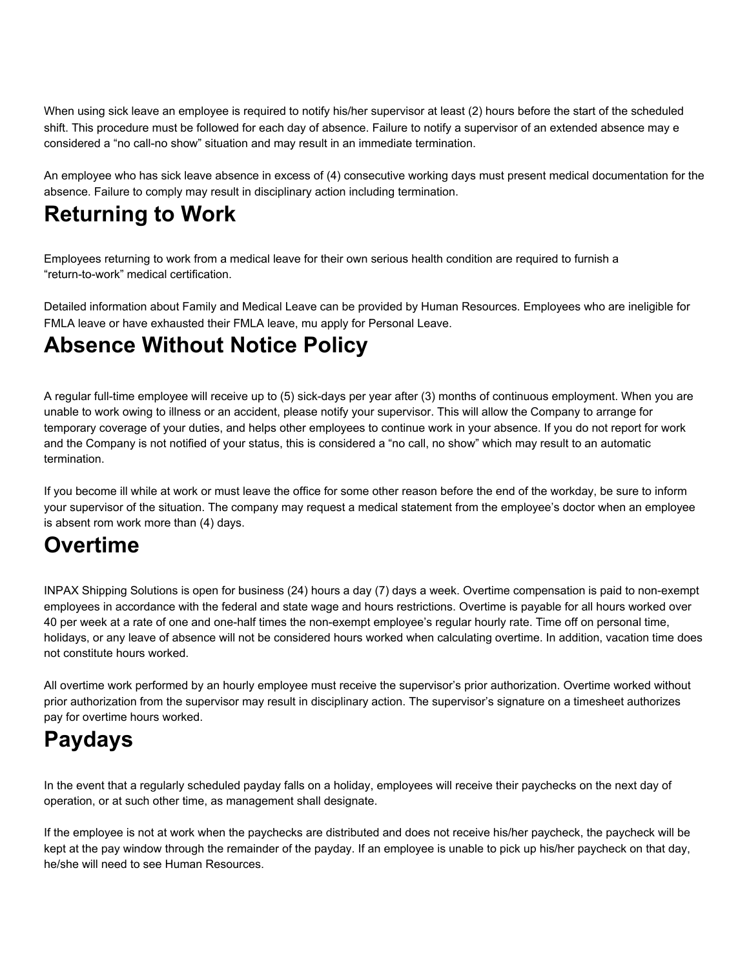When using sick leave an employee is required to notify his/her supervisor at least (2) hours before the start of the scheduled shift. This procedure must be followed for each day of absence. Failure to notify a supervisor of an extended absence may e considered a "no call-no show" situation and may result in an immediate termination.

An employee who has sick leave absence in excess of (4) consecutive working days must present medical documentation for the absence. Failure to comply may result in disciplinary action including termination.

# **Returning to Work**

Employees returning to work from a medical leave for their own serious health condition are required to furnish a "return-to-work" medical certification.

Detailed information about Family and Medical Leave can be provided by Human Resources. Employees who are ineligible for FMLA leave or have exhausted their FMLA leave, mu apply for Personal Leave.

# **Absence Without Notice Policy**

A regular full-time employee will receive up to (5) sick-days per year after (3) months of continuous employment. When you are unable to work owing to illness or an accident, please notify your supervisor. This will allow the Company to arrange for temporary coverage of your duties, and helps other employees to continue work in your absence. If you do not report for work and the Company is not notified of your status, this is considered a "no call, no show" which may result to an automatic termination.

If you become ill while at work or must leave the office for some other reason before the end of the workday, be sure to inform your supervisor of the situation. The company may request a medical statement from the employee's doctor when an employee is absent rom work more than (4) days.

# **Overtime**

INPAX Shipping Solutions is open for business (24) hours a day (7) days a week. Overtime compensation is paid to non-exempt employees in accordance with the federal and state wage and hours restrictions. Overtime is payable for all hours worked over 40 per week at a rate of one and one-half times the non-exempt employee's regular hourly rate. Time off on personal time, holidays, or any leave of absence will not be considered hours worked when calculating overtime. In addition, vacation time does not constitute hours worked.

All overtime work performed by an hourly employee must receive the supervisor's prior authorization. Overtime worked without prior authorization from the supervisor may result in disciplinary action. The supervisor's signature on a timesheet authorizes pay for overtime hours worked.

# **Paydays**

In the event that a regularly scheduled payday falls on a holiday, employees will receive their paychecks on the next day of operation, or at such other time, as management shall designate.

If the employee is not at work when the paychecks are distributed and does not receive his/her paycheck, the paycheck will be kept at the pay window through the remainder of the payday. If an employee is unable to pick up his/her paycheck on that day, he/she will need to see Human Resources.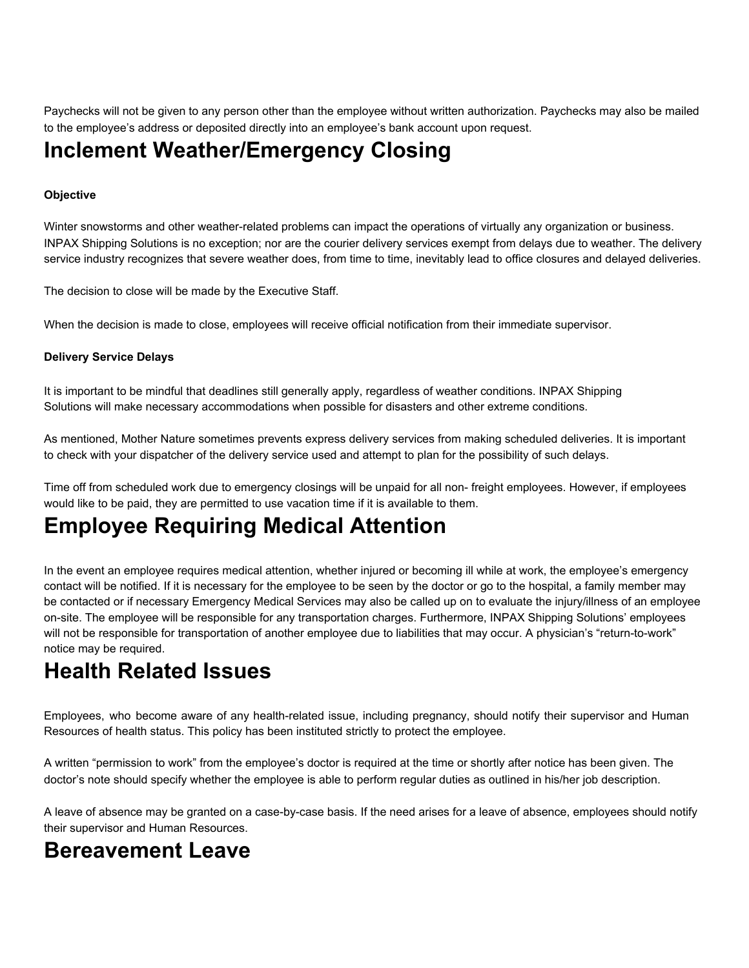Paychecks will not be given to any person other than the employee without written authorization. Paychecks may also be mailed to the employee's address or deposited directly into an employee's bank account upon request.

## **Inclement Weather/Emergency Closing**

### **Objective**

Winter snowstorms and other weather-related problems can impact the operations of virtually any organization or business. INPAX Shipping Solutions is no exception; nor are the courier delivery services exempt from delays due to weather. The delivery service industry recognizes that severe weather does, from time to time, inevitably lead to office closures and delayed deliveries.

The decision to close will be made by the Executive Staff.

When the decision is made to close, employees will receive official notification from their immediate supervisor.

### **Delivery Service Delays**

It is important to be mindful that deadlines still generally apply, regardless of weather conditions. INPAX Shipping Solutions will make necessary accommodations when possible for disasters and other extreme conditions.

As mentioned, Mother Nature sometimes prevents express delivery services from making scheduled deliveries. It is important to check with your dispatcher of the delivery service used and attempt to plan for the possibility of such delays.

Time off from scheduled work due to emergency closings will be unpaid for all non- freight employees. However, if employees would like to be paid, they are permitted to use vacation time if it is available to them.

# **Employee Requiring Medical Attention**

In the event an employee requires medical attention, whether injured or becoming ill while at work, the employee's emergency contact will be notified. If it is necessary for the employee to be seen by the doctor or go to the hospital, a family member may be contacted or if necessary Emergency Medical Services may also be called up on to evaluate the injury/illness of an employee on-site. The employee will be responsible for any transportation charges. Furthermore, INPAX Shipping Solutions' employees will not be responsible for transportation of another employee due to liabilities that may occur. A physician's "return-to-work" notice may be required.

# **Health Related Issues**

Employees, who become aware of any health-related issue, including pregnancy, should notify their supervisor and Human Resources of health status. This policy has been instituted strictly to protect the employee.

A written "permission to work" from the employee's doctor is required at the time or shortly after notice has been given. The doctor's note should specify whether the employee is able to perform regular duties as outlined in his/her job description.

A leave of absence may be granted on a case-by-case basis. If the need arises for a leave of absence, employees should notify their supervisor and Human Resources.

## **Bereavement Leave**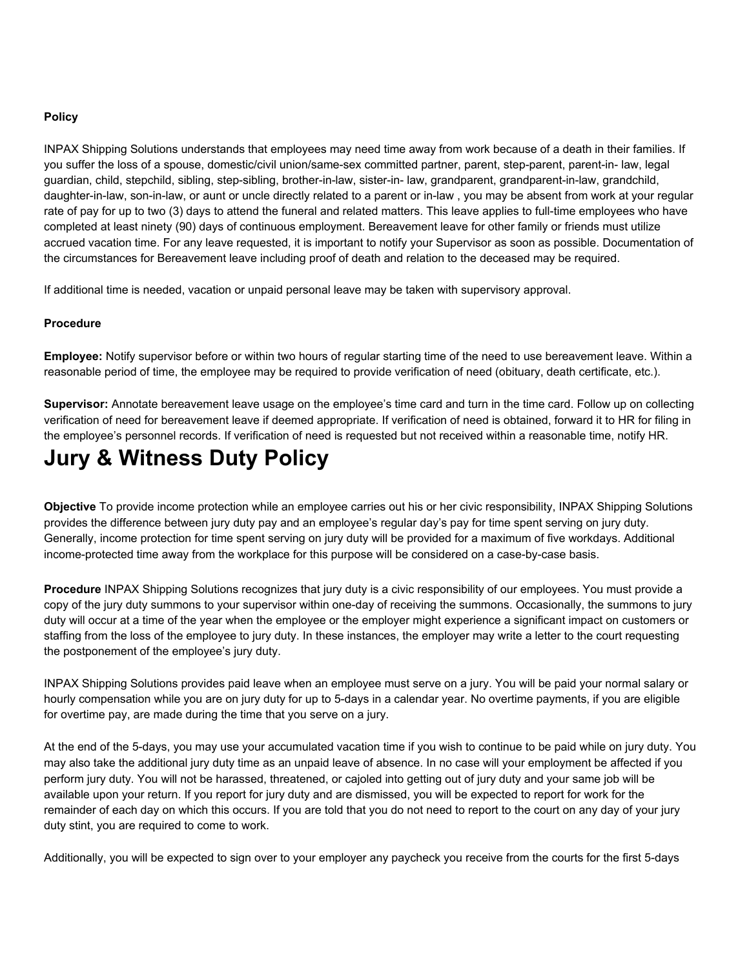### **Policy**

INPAX Shipping Solutions understands that employees may need time away from work because of a death in their families. If you suffer the loss of a spouse, domestic/civil union/same-sex committed partner, parent, step-parent, parent-in- law, legal guardian, child, stepchild, sibling, step-sibling, brother-in-law, sister-in- law, grandparent, grandparent-in-law, grandchild, daughter-in-law, son-in-law, or aunt or uncle directly related to a parent or in-law , you may be absent from work at your regular rate of pay for up to two (3) days to attend the funeral and related matters. This leave applies to full-time employees who have completed at least ninety (90) days of continuous employment. Bereavement leave for other family or friends must utilize accrued vacation time. For any leave requested, it is important to notify your Supervisor as soon as possible. Documentation of the circumstances for Bereavement leave including proof of death and relation to the deceased may be required.

If additional time is needed, vacation or unpaid personal leave may be taken with supervisory approval.

### **Procedure**

**Employee:** Notify supervisor before or within two hours of regular starting time of the need to use bereavement leave. Within a reasonable period of time, the employee may be required to provide verification of need (obituary, death certificate, etc.).

**Supervisor:** Annotate bereavement leave usage on the employee's time card and turn in the time card. Follow up on collecting verification of need for bereavement leave if deemed appropriate. If verification of need is obtained, forward it to HR for filing in the employee's personnel records. If verification of need is requested but not received within a reasonable time, notify HR.

# **Jury & Witness Duty Policy**

**Objective** To provide income protection while an employee carries out his or her civic responsibility, INPAX Shipping Solutions provides the difference between jury duty pay and an employee's regular day's pay for time spent serving on jury duty. Generally, income protection for time spent serving on jury duty will be provided for a maximum of five workdays. Additional income-protected time away from the workplace for this purpose will be considered on a case-by-case basis.

**Procedure** INPAX Shipping Solutions recognizes that jury duty is a civic responsibility of our employees. You must provide a copy of the jury duty summons to your supervisor within one-day of receiving the summons. Occasionally, the summons to jury duty will occur at a time of the year when the employee or the employer might experience a significant impact on customers or staffing from the loss of the employee to jury duty. In these instances, the employer may write a letter to the court requesting the postponement of the employee's jury duty.

INPAX Shipping Solutions provides paid leave when an employee must serve on a jury. You will be paid your normal salary or hourly compensation while you are on jury duty for up to 5-days in a calendar year. No overtime payments, if you are eligible for overtime pay, are made during the time that you serve on a jury.

At the end of the 5-days, you may use your accumulated vacation time if you wish to continue to be paid while on jury duty. You may also take the additional jury duty time as an unpaid leave of absence. In no case will your employment be affected if you perform jury duty. You will not be harassed, threatened, or cajoled into getting out of jury duty and your same job will be available upon your return. If you report for jury duty and are dismissed, you will be expected to report for work for the remainder of each day on which this occurs. If you are told that you do not need to report to the court on any day of your jury duty stint, you are required to come to work.

Additionally, you will be expected to sign over to your employer any paycheck you receive from the courts for the first 5-days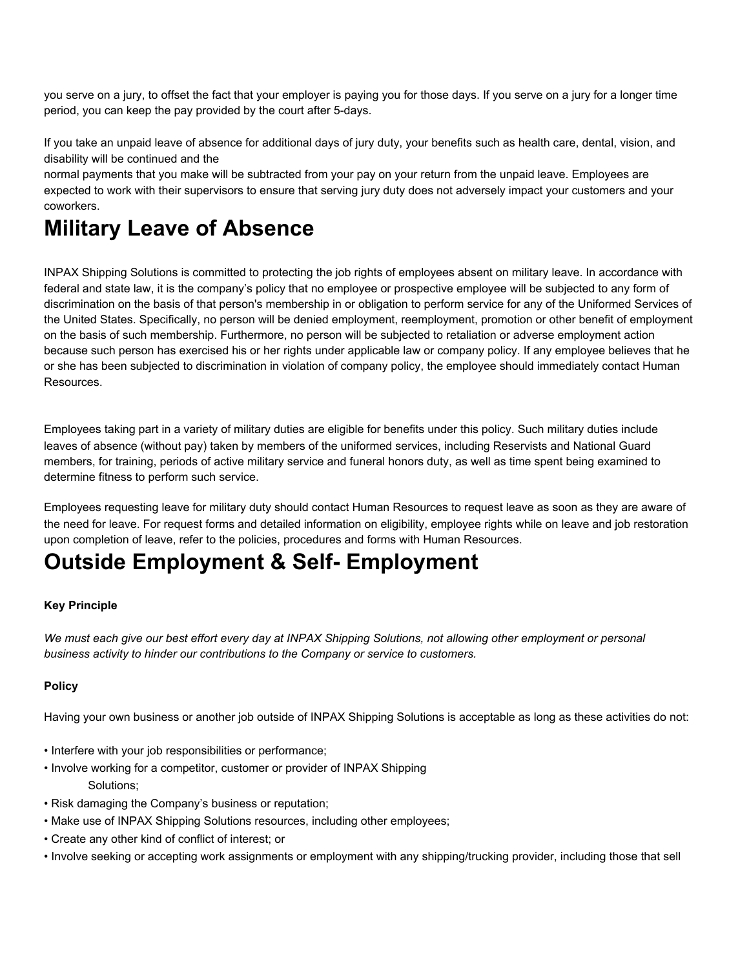you serve on a jury, to offset the fact that your employer is paying you for those days. If you serve on a jury for a longer time period, you can keep the pay provided by the court after 5-days.

If you take an unpaid leave of absence for additional days of jury duty, your benefits such as health care, dental, vision, and disability will be continued and the

normal payments that you make will be subtracted from your pay on your return from the unpaid leave. Employees are expected to work with their supervisors to ensure that serving jury duty does not adversely impact your customers and your coworkers.

# **Military Leave of Absence**

INPAX Shipping Solutions is committed to protecting the job rights of employees absent on military leave. In accordance with federal and state law, it is the company's policy that no employee or prospective employee will be subjected to any form of discrimination on the basis of that person's membership in or obligation to perform service for any of the Uniformed Services of the United States. Specifically, no person will be denied employment, reemployment, promotion or other benefit of employment on the basis of such membership. Furthermore, no person will be subjected to retaliation or adverse employment action because such person has exercised his or her rights under applicable law or company policy. If any employee believes that he or she has been subjected to discrimination in violation of company policy, the employee should immediately contact Human Resources.

Employees taking part in a variety of military duties are eligible for benefits under this policy. Such military duties include leaves of absence (without pay) taken by members of the uniformed services, including Reservists and National Guard members, for training, periods of active military service and funeral honors duty, as well as time spent being examined to determine fitness to perform such service.

Employees requesting leave for military duty should contact Human Resources to request leave as soon as they are aware of the need for leave. For request forms and detailed information on eligibility, employee rights while on leave and job restoration upon completion of leave, refer to the policies, procedures and forms with Human Resources.

# **Outside Employment & Self- Employment**

### **Key Principle**

We must each give our best effort every day at INPAX Shipping Solutions, not allowing other employment or personal *business activity to hinder our contributions to the Company or service to customers.*

### **Policy**

Having your own business or another job outside of INPAX Shipping Solutions is acceptable as long as these activities do not:

- Interfere with your job responsibilities or performance;
- Involve working for a competitor, customer or provider of INPAX Shipping Solutions;
- Risk damaging the Company's business or reputation;
- Make use of INPAX Shipping Solutions resources, including other employees;
- Create any other kind of conflict of interest; or
- Involve seeking or accepting work assignments or employment with any shipping/trucking provider, including those that sell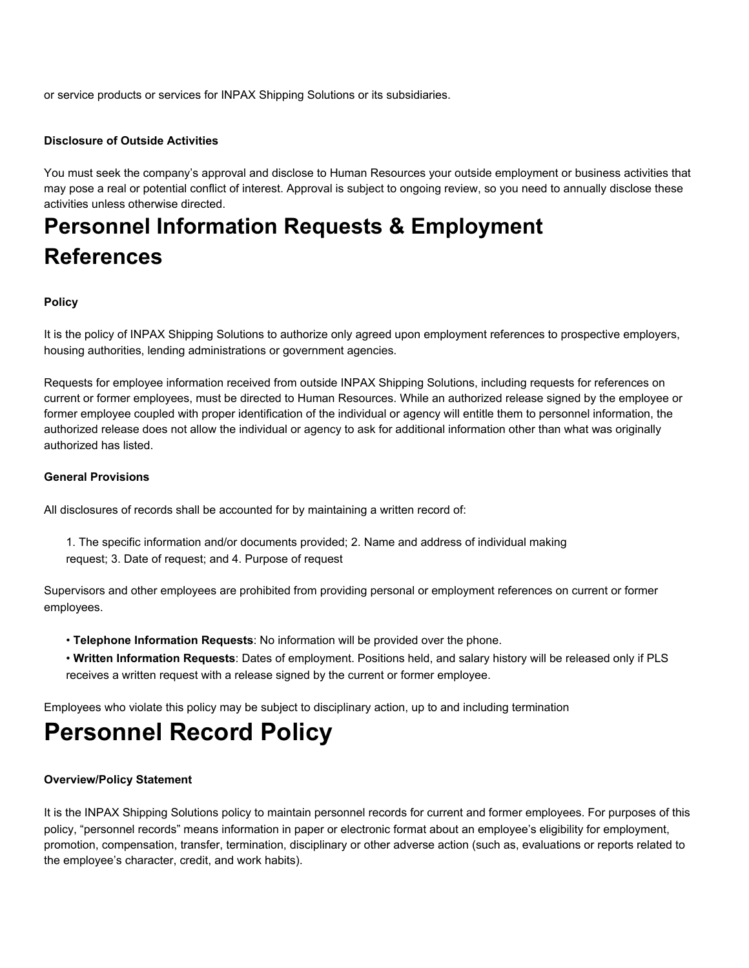or service products or services for INPAX Shipping Solutions or its subsidiaries.

### **Disclosure of Outside Activities**

You must seek the company's approval and disclose to Human Resources your outside employment or business activities that may pose a real or potential conflict of interest. Approval is subject to ongoing review, so you need to annually disclose these activities unless otherwise directed.

# **Personnel Information Requests & Employment References**

### **Policy**

It is the policy of INPAX Shipping Solutions to authorize only agreed upon employment references to prospective employers, housing authorities, lending administrations or government agencies.

Requests for employee information received from outside INPAX Shipping Solutions, including requests for references on current or former employees, must be directed to Human Resources. While an authorized release signed by the employee or former employee coupled with proper identification of the individual or agency will entitle them to personnel information, the authorized release does not allow the individual or agency to ask for additional information other than what was originally authorized has listed.

### **General Provisions**

All disclosures of records shall be accounted for by maintaining a written record of:

1. The specific information and/or documents provided; 2. Name and address of individual making request; 3. Date of request; and 4. Purpose of request

Supervisors and other employees are prohibited from providing personal or employment references on current or former employees.

- **Telephone Information Requests**: No information will be provided over the phone.
- **Written Information Requests**: Dates of employment. Positions held, and salary history will be released only if PLS receives a written request with a release signed by the current or former employee.

Employees who violate this policy may be subject to disciplinary action, up to and including termination

# **Personnel Record Policy**

### **Overview/Policy Statement**

It is the INPAX Shipping Solutions policy to maintain personnel records for current and former employees. For purposes of this policy, "personnel records" means information in paper or electronic format about an employee's eligibility for employment, promotion, compensation, transfer, termination, disciplinary or other adverse action (such as, evaluations or reports related to the employee's character, credit, and work habits).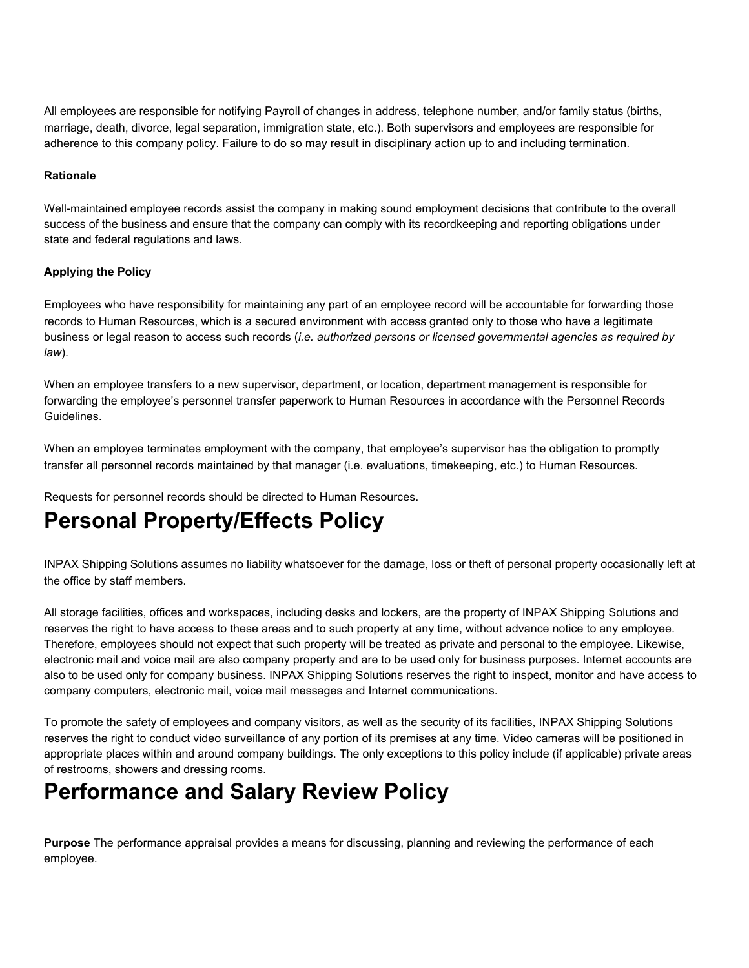All employees are responsible for notifying Payroll of changes in address, telephone number, and/or family status (births, marriage, death, divorce, legal separation, immigration state, etc.). Both supervisors and employees are responsible for adherence to this company policy. Failure to do so may result in disciplinary action up to and including termination.

### **Rationale**

Well-maintained employee records assist the company in making sound employment decisions that contribute to the overall success of the business and ensure that the company can comply with its recordkeeping and reporting obligations under state and federal regulations and laws.

### **Applying the Policy**

Employees who have responsibility for maintaining any part of an employee record will be accountable for forwarding those records to Human Resources, which is a secured environment with access granted only to those who have a legitimate business or legal reason to access such records (*i.e. authorized persons or licensed governmental agencies as required by law*).

When an employee transfers to a new supervisor, department, or location, department management is responsible for forwarding the employee's personnel transfer paperwork to Human Resources in accordance with the Personnel Records Guidelines.

When an employee terminates employment with the company, that employee's supervisor has the obligation to promptly transfer all personnel records maintained by that manager (i.e. evaluations, timekeeping, etc.) to Human Resources.

Requests for personnel records should be directed to Human Resources.

# **Personal Property/Effects Policy**

INPAX Shipping Solutions assumes no liability whatsoever for the damage, loss or theft of personal property occasionally left at the office by staff members.

All storage facilities, offices and workspaces, including desks and lockers, are the property of INPAX Shipping Solutions and reserves the right to have access to these areas and to such property at any time, without advance notice to any employee. Therefore, employees should not expect that such property will be treated as private and personal to the employee. Likewise, electronic mail and voice mail are also company property and are to be used only for business purposes. Internet accounts are also to be used only for company business. INPAX Shipping Solutions reserves the right to inspect, monitor and have access to company computers, electronic mail, voice mail messages and Internet communications.

To promote the safety of employees and company visitors, as well as the security of its facilities, INPAX Shipping Solutions reserves the right to conduct video surveillance of any portion of its premises at any time. Video cameras will be positioned in appropriate places within and around company buildings. The only exceptions to this policy include (if applicable) private areas of restrooms, showers and dressing rooms.

## **Performance and Salary Review Policy**

**Purpose** The performance appraisal provides a means for discussing, planning and reviewing the performance of each employee.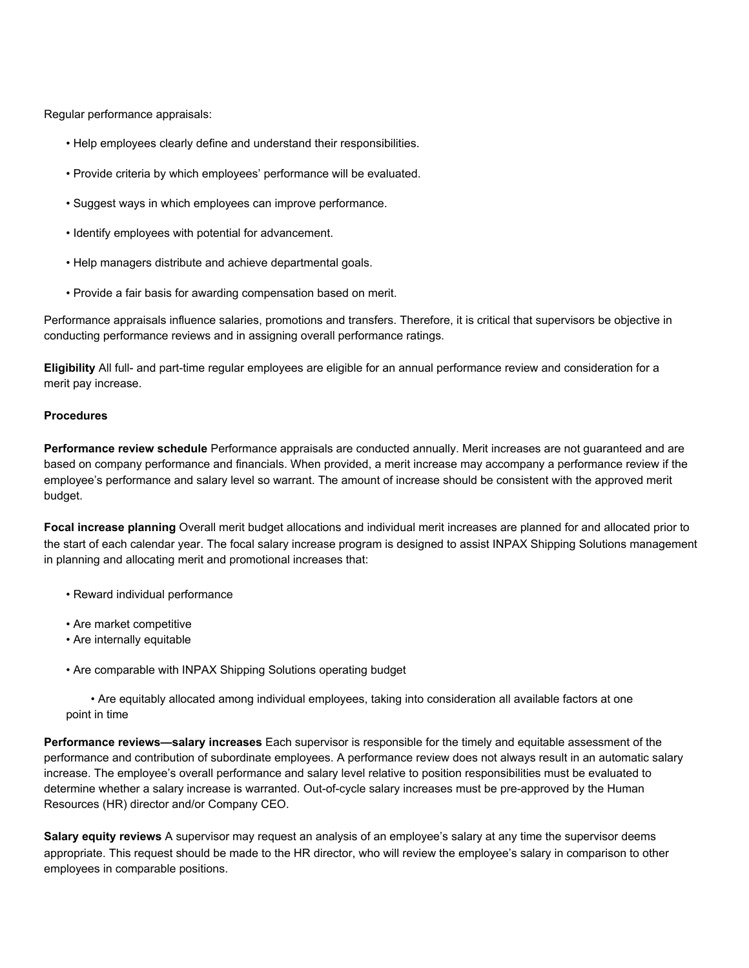Regular performance appraisals:

- Help employees clearly define and understand their responsibilities.
- Provide criteria by which employees' performance will be evaluated.
- Suggest ways in which employees can improve performance.
- Identify employees with potential for advancement.
- Help managers distribute and achieve departmental goals.
- Provide a fair basis for awarding compensation based on merit.

Performance appraisals influence salaries, promotions and transfers. Therefore, it is critical that supervisors be objective in conducting performance reviews and in assigning overall performance ratings.

**Eligibility** All full- and part-time regular employees are eligible for an annual performance review and consideration for a merit pay increase.

#### **Procedures**

**Performance review schedule** Performance appraisals are conducted annually. Merit increases are not guaranteed and are based on company performance and financials. When provided, a merit increase may accompany a performance review if the employee's performance and salary level so warrant. The amount of increase should be consistent with the approved merit budget.

**Focal increase planning** Overall merit budget allocations and individual merit increases are planned for and allocated prior to the start of each calendar year. The focal salary increase program is designed to assist INPAX Shipping Solutions management in planning and allocating merit and promotional increases that:

- Reward individual performance
- Are market competitive
- Are internally equitable
- Are comparable with INPAX Shipping Solutions operating budget

• Are equitably allocated among individual employees, taking into consideration all available factors at one point in time

**Performance reviews—salary increases** Each supervisor is responsible for the timely and equitable assessment of the performance and contribution of subordinate employees. A performance review does not always result in an automatic salary increase. The employee's overall performance and salary level relative to position responsibilities must be evaluated to determine whether a salary increase is warranted. Out-of-cycle salary increases must be pre-approved by the Human Resources (HR) director and/or Company CEO.

**Salary equity reviews** A supervisor may request an analysis of an employee's salary at any time the supervisor deems appropriate. This request should be made to the HR director, who will review the employee's salary in comparison to other employees in comparable positions.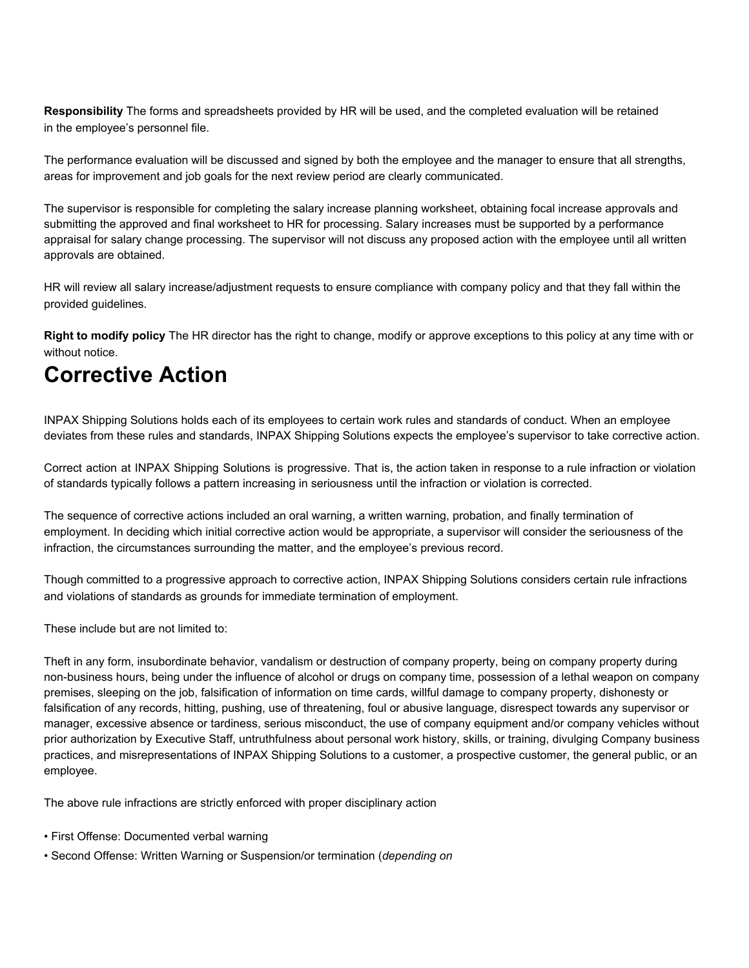**Responsibility** The forms and spreadsheets provided by HR will be used, and the completed evaluation will be retained in the employee's personnel file.

The performance evaluation will be discussed and signed by both the employee and the manager to ensure that all strengths, areas for improvement and job goals for the next review period are clearly communicated.

The supervisor is responsible for completing the salary increase planning worksheet, obtaining focal increase approvals and submitting the approved and final worksheet to HR for processing. Salary increases must be supported by a performance appraisal for salary change processing. The supervisor will not discuss any proposed action with the employee until all written approvals are obtained.

HR will review all salary increase/adjustment requests to ensure compliance with company policy and that they fall within the provided guidelines.

**Right to modify policy** The HR director has the right to change, modify or approve exceptions to this policy at any time with or without notice.

# **Corrective Action**

INPAX Shipping Solutions holds each of its employees to certain work rules and standards of conduct. When an employee deviates from these rules and standards, INPAX Shipping Solutions expects the employee's supervisor to take corrective action.

Correct action at INPAX Shipping Solutions is progressive. That is, the action taken in response to a rule infraction or violation of standards typically follows a pattern increasing in seriousness until the infraction or violation is corrected.

The sequence of corrective actions included an oral warning, a written warning, probation, and finally termination of employment. In deciding which initial corrective action would be appropriate, a supervisor will consider the seriousness of the infraction, the circumstances surrounding the matter, and the employee's previous record.

Though committed to a progressive approach to corrective action, INPAX Shipping Solutions considers certain rule infractions and violations of standards as grounds for immediate termination of employment.

These include but are not limited to:

Theft in any form, insubordinate behavior, vandalism or destruction of company property, being on company property during non-business hours, being under the influence of alcohol or drugs on company time, possession of a lethal weapon on company premises, sleeping on the job, falsification of information on time cards, willful damage to company property, dishonesty or falsification of any records, hitting, pushing, use of threatening, foul or abusive language, disrespect towards any supervisor or manager, excessive absence or tardiness, serious misconduct, the use of company equipment and/or company vehicles without prior authorization by Executive Staff, untruthfulness about personal work history, skills, or training, divulging Company business practices, and misrepresentations of INPAX Shipping Solutions to a customer, a prospective customer, the general public, or an employee.

The above rule infractions are strictly enforced with proper disciplinary action

- First Offense: Documented verbal warning
- Second Offense: Written Warning or Suspension/or termination (*depending on*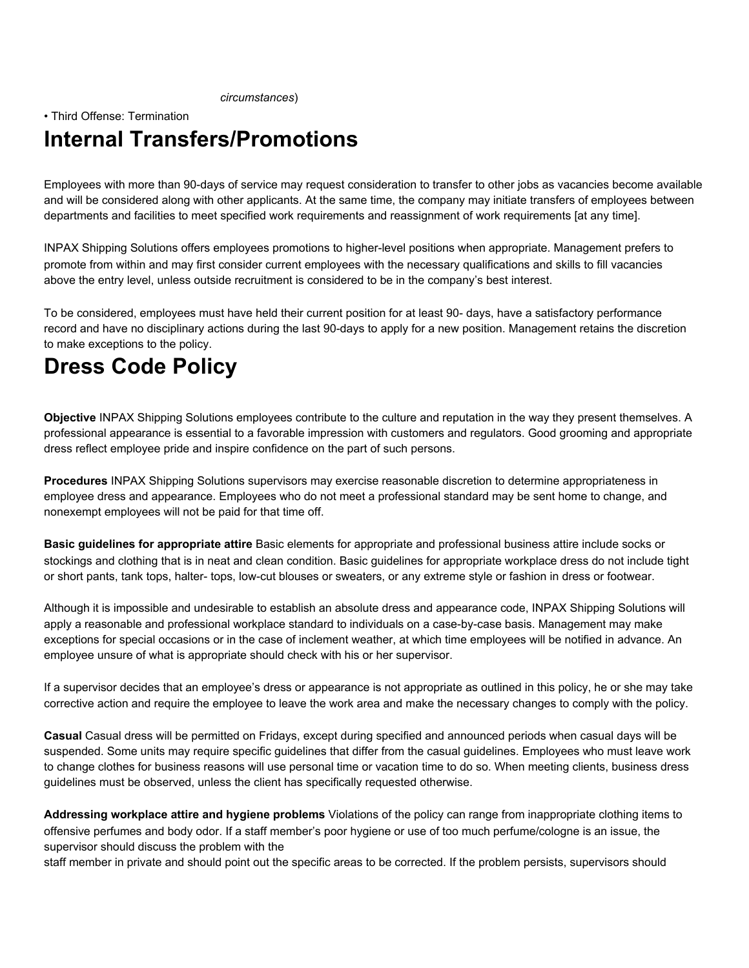*circumstances*)

### • Third Offense: Termination **Internal Transfers/Promotions**

Employees with more than 90-days of service may request consideration to transfer to other jobs as vacancies become available and will be considered along with other applicants. At the same time, the company may initiate transfers of employees between departments and facilities to meet specified work requirements and reassignment of work requirements [at any time].

INPAX Shipping Solutions offers employees promotions to higher-level positions when appropriate. Management prefers to promote from within and may first consider current employees with the necessary qualifications and skills to fill vacancies above the entry level, unless outside recruitment is considered to be in the company's best interest.

To be considered, employees must have held their current position for at least 90- days, have a satisfactory performance record and have no disciplinary actions during the last 90-days to apply for a new position. Management retains the discretion to make exceptions to the policy.

# **Dress Code Policy**

**Objective** INPAX Shipping Solutions employees contribute to the culture and reputation in the way they present themselves. A professional appearance is essential to a favorable impression with customers and regulators. Good grooming and appropriate dress reflect employee pride and inspire confidence on the part of such persons.

**Procedures** INPAX Shipping Solutions supervisors may exercise reasonable discretion to determine appropriateness in employee dress and appearance. Employees who do not meet a professional standard may be sent home to change, and nonexempt employees will not be paid for that time off.

**Basic guidelines for appropriate attire** Basic elements for appropriate and professional business attire include socks or stockings and clothing that is in neat and clean condition. Basic guidelines for appropriate workplace dress do not include tight or short pants, tank tops, halter- tops, low-cut blouses or sweaters, or any extreme style or fashion in dress or footwear.

Although it is impossible and undesirable to establish an absolute dress and appearance code, INPAX Shipping Solutions will apply a reasonable and professional workplace standard to individuals on a case-by-case basis. Management may make exceptions for special occasions or in the case of inclement weather, at which time employees will be notified in advance. An employee unsure of what is appropriate should check with his or her supervisor.

If a supervisor decides that an employee's dress or appearance is not appropriate as outlined in this policy, he or she may take corrective action and require the employee to leave the work area and make the necessary changes to comply with the policy.

**Casual** Casual dress will be permitted on Fridays, except during specified and announced periods when casual days will be suspended. Some units may require specific guidelines that differ from the casual guidelines. Employees who must leave work to change clothes for business reasons will use personal time or vacation time to do so. When meeting clients, business dress guidelines must be observed, unless the client has specifically requested otherwise.

**Addressing workplace attire and hygiene problems** Violations of the policy can range from inappropriate clothing items to offensive perfumes and body odor. If a staff member's poor hygiene or use of too much perfume/cologne is an issue, the supervisor should discuss the problem with the

staff member in private and should point out the specific areas to be corrected. If the problem persists, supervisors should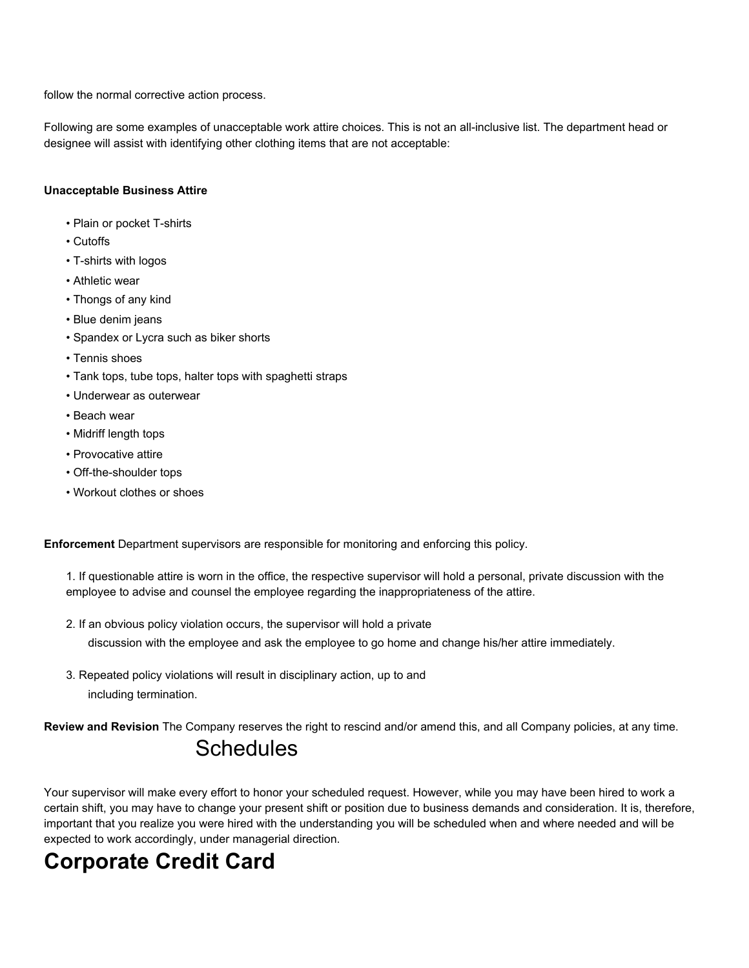follow the normal corrective action process.

Following are some examples of unacceptable work attire choices. This is not an all-inclusive list. The department head or designee will assist with identifying other clothing items that are not acceptable:

### **Unacceptable Business Attire**

- Plain or pocket T-shirts
- Cutoffs
- T-shirts with logos
- Athletic wear
- Thongs of any kind
- Blue denim jeans
- Spandex or Lycra such as biker shorts
- Tennis shoes
- Tank tops, tube tops, halter tops with spaghetti straps
- Underwear as outerwear
- Beach wear
- Midriff length tops
- Provocative attire
- Off-the-shoulder tops
- Workout clothes or shoes

**Enforcement** Department supervisors are responsible for monitoring and enforcing this policy.

1. If questionable attire is worn in the office, the respective supervisor will hold a personal, private discussion with the employee to advise and counsel the employee regarding the inappropriateness of the attire.

2. If an obvious policy violation occurs, the supervisor will hold a private

discussion with the employee and ask the employee to go home and change his/her attire immediately.

3. Repeated policy violations will result in disciplinary action, up to and including termination.

**Review and Revision** The Company reserves the right to rescind and/or amend this, and all Company policies, at any time.

## **Schedules**

Your supervisor will make every effort to honor your scheduled request. However, while you may have been hired to work a certain shift, you may have to change your present shift or position due to business demands and consideration. It is, therefore, important that you realize you were hired with the understanding you will be scheduled when and where needed and will be expected to work accordingly, under managerial direction.

# **Corporate Credit Card**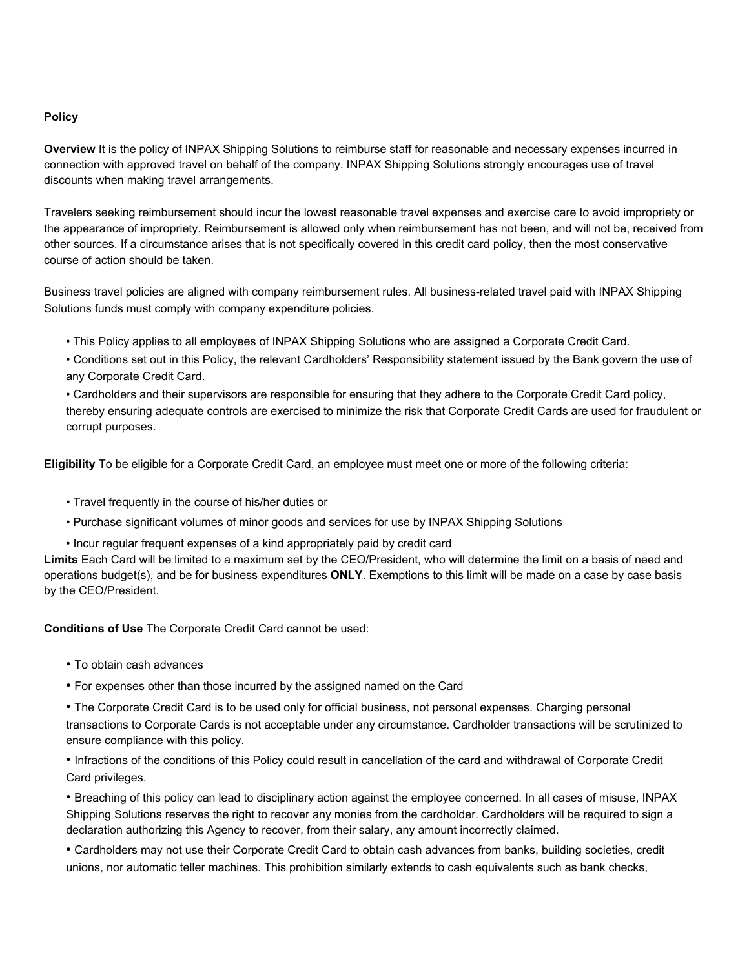### **Policy**

**Overview** It is the policy of INPAX Shipping Solutions to reimburse staff for reasonable and necessary expenses incurred in connection with approved travel on behalf of the company. INPAX Shipping Solutions strongly encourages use of travel discounts when making travel arrangements.

Travelers seeking reimbursement should incur the lowest reasonable travel expenses and exercise care to avoid impropriety or the appearance of impropriety. Reimbursement is allowed only when reimbursement has not been, and will not be, received from other sources. If a circumstance arises that is not specifically covered in this credit card policy, then the most conservative course of action should be taken.

Business travel policies are aligned with company reimbursement rules. All business-related travel paid with INPAX Shipping Solutions funds must comply with company expenditure policies.

- This Policy applies to all employees of INPAX Shipping Solutions who are assigned a Corporate Credit Card.
- Conditions set out in this Policy, the relevant Cardholders' Responsibility statement issued by the Bank govern the use of any Corporate Credit Card.
- Cardholders and their supervisors are responsible for ensuring that they adhere to the Corporate Credit Card policy, thereby ensuring adequate controls are exercised to minimize the risk that Corporate Credit Cards are used for fraudulent or corrupt purposes.

**Eligibility** To be eligible for a Corporate Credit Card, an employee must meet one or more of the following criteria:

- Travel frequently in the course of his/her duties or
- Purchase significant volumes of minor goods and services for use by INPAX Shipping Solutions

• Incur regular frequent expenses of a kind appropriately paid by credit card

**Limits** Each Card will be limited to a maximum set by the CEO/President, who will determine the limit on a basis of need and operations budget(s), and be for business expenditures **ONLY**. Exemptions to this limit will be made on a case by case basis by the CEO/President.

**Conditions of Use** The Corporate Credit Card cannot be used:

- To obtain cash advances
- For expenses other than those incurred by the assigned named on the Card
- The Corporate Credit Card is to be used only for official business, not personal expenses. Charging personal transactions to Corporate Cards is not acceptable under any circumstance. Cardholder transactions will be scrutinized to ensure compliance with this policy.
- Infractions of the conditions of this Policy could result in cancellation of the card and withdrawal of Corporate Credit Card privileges.

• Breaching of this policy can lead to disciplinary action against the employee concerned. In all cases of misuse, INPAX Shipping Solutions reserves the right to recover any monies from the cardholder. Cardholders will be required to sign a declaration authorizing this Agency to recover, from their salary, any amount incorrectly claimed.

• Cardholders may not use their Corporate Credit Card to obtain cash advances from banks, building societies, credit unions, nor automatic teller machines. This prohibition similarly extends to cash equivalents such as bank checks,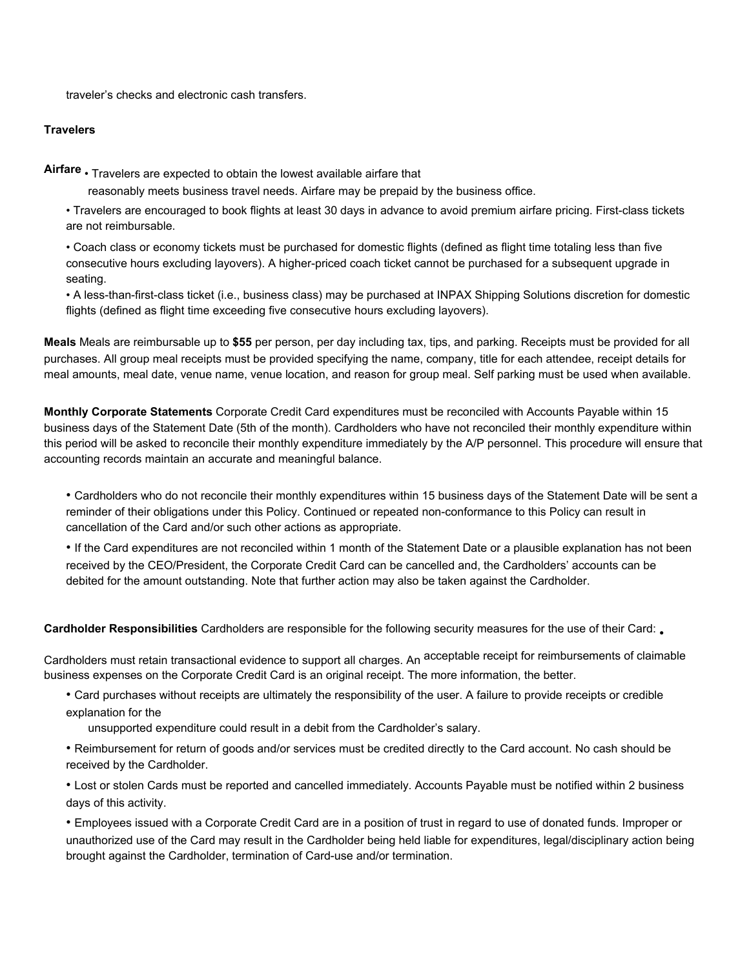traveler's checks and electronic cash transfers.

### **Travelers**

**Airfare** • Travelers are expected to obtain the lowest available airfare that

reasonably meets business travel needs. Airfare may be prepaid by the business office.

• Travelers are encouraged to book flights at least 30 days in advance to avoid premium airfare pricing. First-class tickets are not reimbursable.

• Coach class or economy tickets must be purchased for domestic flights (defined as flight time totaling less than five consecutive hours excluding layovers). A higher-priced coach ticket cannot be purchased for a subsequent upgrade in seating.

• A less-than-first-class ticket (i.e., business class) may be purchased at INPAX Shipping Solutions discretion for domestic flights (defined as flight time exceeding five consecutive hours excluding layovers).

**Meals** Meals are reimbursable up to **\$55** per person, per day including tax, tips, and parking. Receipts must be provided for all purchases. All group meal receipts must be provided specifying the name, company, title for each attendee, receipt details for meal amounts, meal date, venue name, venue location, and reason for group meal. Self parking must be used when available.

**Monthly Corporate Statements** Corporate Credit Card expenditures must be reconciled with Accounts Payable within 15 business days of the Statement Date (5th of the month). Cardholders who have not reconciled their monthly expenditure within this period will be asked to reconcile their monthly expenditure immediately by the A/P personnel. This procedure will ensure that accounting records maintain an accurate and meaningful balance.

• Cardholders who do not reconcile their monthly expenditures within 15 business days of the Statement Date will be sent a reminder of their obligations under this Policy. Continued or repeated non-conformance to this Policy can result in cancellation of the Card and/or such other actions as appropriate.

• If the Card expenditures are not reconciled within 1 month of the Statement Date or a plausible explanation has not been received by the CEO/President, the Corporate Credit Card can be cancelled and, the Cardholders' accounts can be debited for the amount outstanding. Note that further action may also be taken against the Cardholder.

**Cardholder Responsibilities** Cardholders are responsible for the following security measures for the use of their Card: •

Cardholders must retain transactional evidence to support all charges. An acceptable receipt for reimbursements of claimable business expenses on the Corporate Credit Card is an original receipt. The more information, the better.

• Card purchases without receipts are ultimately the responsibility of the user. A failure to provide receipts or credible explanation for the

unsupported expenditure could result in a debit from the Cardholder's salary.

• Reimbursement for return of goods and/or services must be credited directly to the Card account. No cash should be received by the Cardholder.

• Lost or stolen Cards must be reported and cancelled immediately. Accounts Payable must be notified within 2 business days of this activity.

• Employees issued with a Corporate Credit Card are in a position of trust in regard to use of donated funds. Improper or unauthorized use of the Card may result in the Cardholder being held liable for expenditures, legal/disciplinary action being brought against the Cardholder, termination of Card-use and/or termination.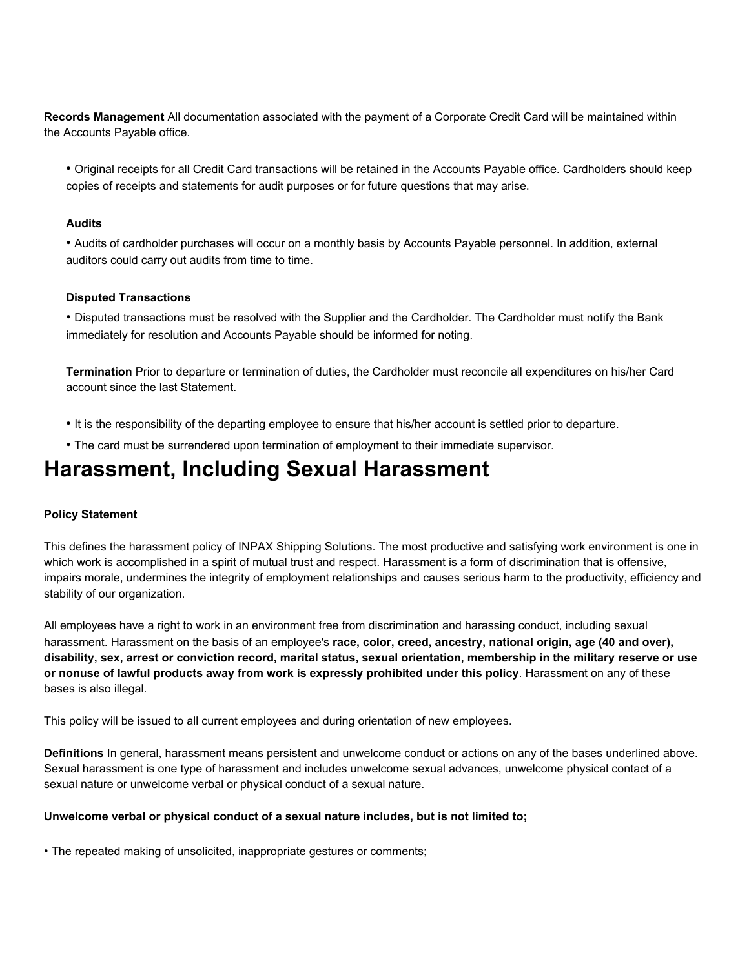**Records Management** All documentation associated with the payment of a Corporate Credit Card will be maintained within the Accounts Payable office.

• Original receipts for all Credit Card transactions will be retained in the Accounts Payable office. Cardholders should keep copies of receipts and statements for audit purposes or for future questions that may arise.

#### **Audits**

• Audits of cardholder purchases will occur on a monthly basis by Accounts Payable personnel. In addition, external auditors could carry out audits from time to time.

#### **Disputed Transactions**

• Disputed transactions must be resolved with the Supplier and the Cardholder. The Cardholder must notify the Bank immediately for resolution and Accounts Payable should be informed for noting.

**Termination** Prior to departure or termination of duties, the Cardholder must reconcile all expenditures on his/her Card account since the last Statement.

- It is the responsibility of the departing employee to ensure that his/her account is settled prior to departure.
- The card must be surrendered upon termination of employment to their immediate supervisor.

### **Harassment, Including Sexual Harassment**

#### **Policy Statement**

This defines the harassment policy of INPAX Shipping Solutions. The most productive and satisfying work environment is one in which work is accomplished in a spirit of mutual trust and respect. Harassment is a form of discrimination that is offensive, impairs morale, undermines the integrity of employment relationships and causes serious harm to the productivity, efficiency and stability of our organization.

All employees have a right to work in an environment free from discrimination and harassing conduct, including sexual harassment. Harassment on the basis of an employee's **race, color, creed, ancestry, national origin, age (40 and over),** disability, sex, arrest or conviction record, marital status, sexual orientation, membership in the military reserve or use **or nonuse of lawful products away from work is expressly prohibited under this policy**. Harassment on any of these bases is also illegal.

This policy will be issued to all current employees and during orientation of new employees.

**Definitions** In general, harassment means persistent and unwelcome conduct or actions on any of the bases underlined above. Sexual harassment is one type of harassment and includes unwelcome sexual advances, unwelcome physical contact of a sexual nature or unwelcome verbal or physical conduct of a sexual nature.

#### **Unwelcome verbal or physical conduct of a sexual nature includes, but is not limited to;**

• The repeated making of unsolicited, inappropriate gestures or comments;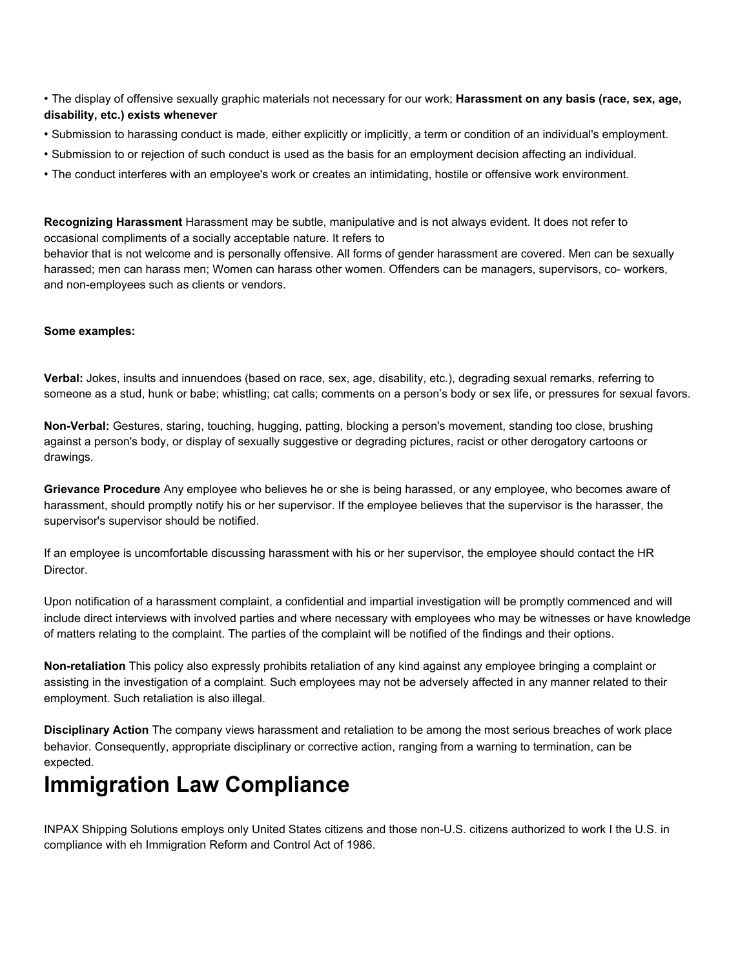- The display of offensive sexually graphic materials not necessary for our work; **Harassment on any basis (race, sex, age, disability, etc.) exists whenever**
- Submission to harassing conduct is made, either explicitly or implicitly, a term or condition of an individual's employment.
- Submission to or rejection of such conduct is used as the basis for an employment decision affecting an individual.
- The conduct interferes with an employee's work or creates an intimidating, hostile or offensive work environment.

**Recognizing Harassment** Harassment may be subtle, manipulative and is not always evident. It does not refer to occasional compliments of a socially acceptable nature. It refers to

behavior that is not welcome and is personally offensive. All forms of gender harassment are covered. Men can be sexually harassed; men can harass men; Women can harass other women. Offenders can be managers, supervisors, co- workers, and non-employees such as clients or vendors.

#### **Some examples:**

**Verbal:** Jokes, insults and innuendoes (based on race, sex, age, disability, etc.), degrading sexual remarks, referring to someone as a stud, hunk or babe; whistling; cat calls; comments on a person's body or sex life, or pressures for sexual favors.

**Non-Verbal:** Gestures, staring, touching, hugging, patting, blocking a person's movement, standing too close, brushing against a person's body, or display of sexually suggestive or degrading pictures, racist or other derogatory cartoons or drawings.

**Grievance Procedure** Any employee who believes he or she is being harassed, or any employee, who becomes aware of harassment, should promptly notify his or her supervisor. If the employee believes that the supervisor is the harasser, the supervisor's supervisor should be notified.

If an employee is uncomfortable discussing harassment with his or her supervisor, the employee should contact the HR Director.

Upon notification of a harassment complaint, a confidential and impartial investigation will be promptly commenced and will include direct interviews with involved parties and where necessary with employees who may be witnesses or have knowledge of matters relating to the complaint. The parties of the complaint will be notified of the findings and their options.

**Non-retaliation** This policy also expressly prohibits retaliation of any kind against any employee bringing a complaint or assisting in the investigation of a complaint. Such employees may not be adversely affected in any manner related to their employment. Such retaliation is also illegal.

**Disciplinary Action** The company views harassment and retaliation to be among the most serious breaches of work place behavior. Consequently, appropriate disciplinary or corrective action, ranging from a warning to termination, can be expected.

## **Immigration Law Compliance**

INPAX Shipping Solutions employs only United States citizens and those non-U.S. citizens authorized to work I the U.S. in compliance with eh Immigration Reform and Control Act of 1986.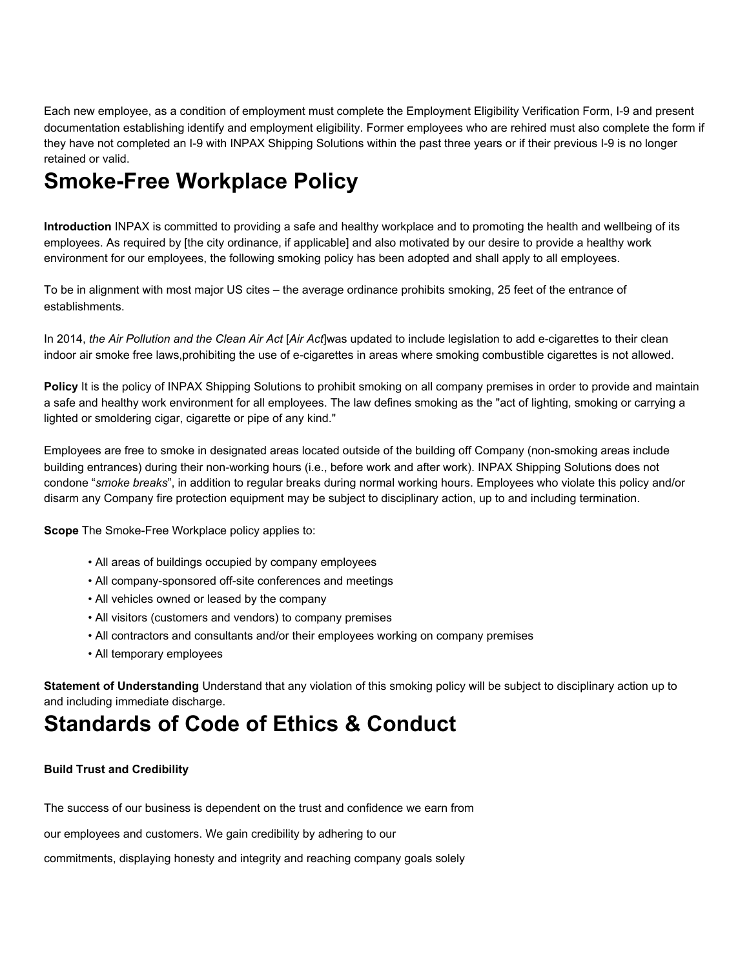Each new employee, as a condition of employment must complete the Employment Eligibility Verification Form, I-9 and present documentation establishing identify and employment eligibility. Former employees who are rehired must also complete the form if they have not completed an I-9 with INPAX Shipping Solutions within the past three years or if their previous I-9 is no longer retained or valid.

# **Smoke-Free Workplace Policy**

**Introduction** INPAX is committed to providing a safe and healthy workplace and to promoting the health and wellbeing of its employees. As required by [the city ordinance, if applicable] and also motivated by our desire to provide a healthy work environment for our employees, the following smoking policy has been adopted and shall apply to all employees.

To be in alignment with most major US cites – the average ordinance prohibits smoking, 25 feet of the entrance of establishments.

In 2014, *the Air Pollution and the Clean Air Act* [*Air Act*]was updated to include legislation to add e-cigarettes to their clean indoor air smoke free laws,prohibiting the use of e-cigarettes in areas where smoking combustible cigarettes is not allowed.

**Policy** It is the policy of INPAX Shipping Solutions to prohibit smoking on all company premises in order to provide and maintain a safe and healthy work environment for all employees. The law defines smoking as the "act of lighting, smoking or carrying a lighted or smoldering cigar, cigarette or pipe of any kind."

Employees are free to smoke in designated areas located outside of the building off Company (non-smoking areas include building entrances) during their non-working hours (i.e., before work and after work). INPAX Shipping Solutions does not condone "*smoke breaks*", in addition to regular breaks during normal working hours. Employees who violate this policy and/or disarm any Company fire protection equipment may be subject to disciplinary action, up to and including termination.

**Scope** The Smoke-Free Workplace policy applies to:

- All areas of buildings occupied by company employees
- All company-sponsored off-site conferences and meetings
- All vehicles owned or leased by the company
- All visitors (customers and vendors) to company premises
- All contractors and consultants and/or their employees working on company premises
- All temporary employees

**Statement of Understanding** Understand that any violation of this smoking policy will be subject to disciplinary action up to and including immediate discharge.

# **Standards of Code of Ethics & Conduct**

### **Build Trust and Credibility**

The success of our business is dependent on the trust and confidence we earn from

our employees and customers. We gain credibility by adhering to our

commitments, displaying honesty and integrity and reaching company goals solely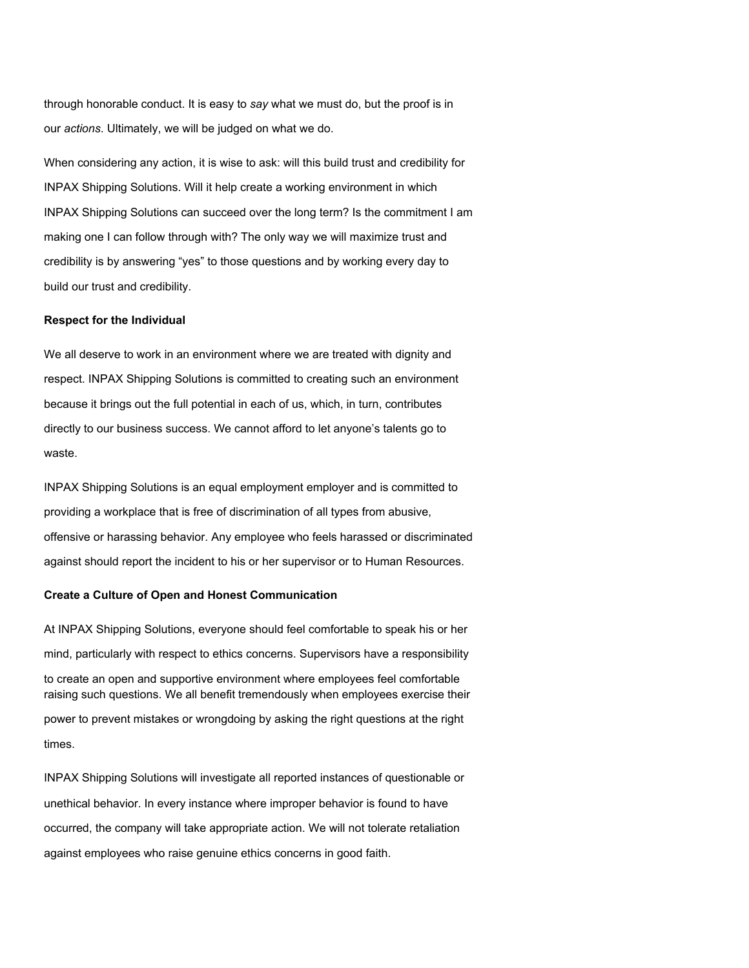through honorable conduct. It is easy to *say* what we must do, but the proof is in our *actions*. Ultimately, we will be judged on what we do.

When considering any action, it is wise to ask: will this build trust and credibility for INPAX Shipping Solutions. Will it help create a working environment in which INPAX Shipping Solutions can succeed over the long term? Is the commitment I am making one I can follow through with? The only way we will maximize trust and credibility is by answering "yes" to those questions and by working every day to build our trust and credibility.

#### **Respect for the Individual**

We all deserve to work in an environment where we are treated with dignity and respect. INPAX Shipping Solutions is committed to creating such an environment because it brings out the full potential in each of us, which, in turn, contributes directly to our business success. We cannot afford to let anyone's talents go to waste.

INPAX Shipping Solutions is an equal employment employer and is committed to providing a workplace that is free of discrimination of all types from abusive, offensive or harassing behavior. Any employee who feels harassed or discriminated against should report the incident to his or her supervisor or to Human Resources.

#### **Create a Culture of Open and Honest Communication**

At INPAX Shipping Solutions, everyone should feel comfortable to speak his or her mind, particularly with respect to ethics concerns. Supervisors have a responsibility to create an open and supportive environment where employees feel comfortable raising such questions. We all benefit tremendously when employees exercise their power to prevent mistakes or wrongdoing by asking the right questions at the right times.

INPAX Shipping Solutions will investigate all reported instances of questionable or unethical behavior. In every instance where improper behavior is found to have occurred, the company will take appropriate action. We will not tolerate retaliation against employees who raise genuine ethics concerns in good faith.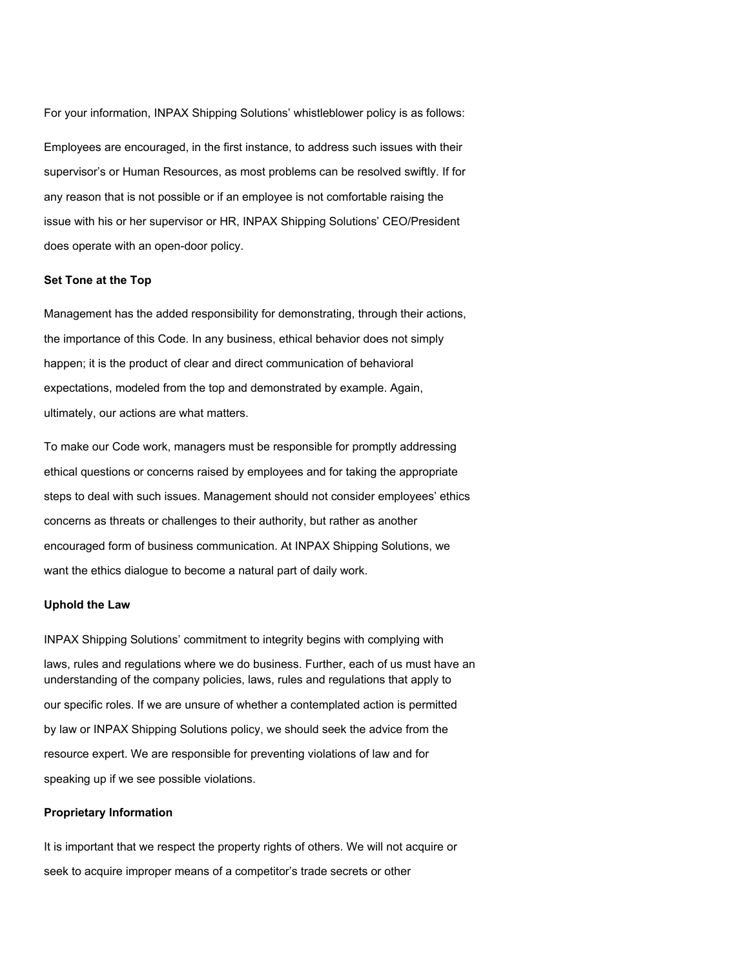For your information, INPAX Shipping Solutions' whistleblower policy is as follows:

Employees are encouraged, in the first instance, to address such issues with their supervisor's or Human Resources, as most problems can be resolved swiftly. If for any reason that is not possible or if an employee is not comfortable raising the issue with his or her supervisor or HR, INPAX Shipping Solutions' CEO/President does operate with an open-door policy.

#### **Set Tone at the Top**

Management has the added responsibility for demonstrating, through their actions, the importance of this Code. In any business, ethical behavior does not simply happen; it is the product of clear and direct communication of behavioral expectations, modeled from the top and demonstrated by example. Again, ultimately, our actions are what matters.

To make our Code work, managers must be responsible for promptly addressing ethical questions or concerns raised by employees and for taking the appropriate steps to deal with such issues. Management should not consider employees' ethics concerns as threats or challenges to their authority, but rather as another encouraged form of business communication. At INPAX Shipping Solutions, we want the ethics dialogue to become a natural part of daily work.

#### **Uphold the Law**

INPAX Shipping Solutions' commitment to integrity begins with complying with laws, rules and regulations where we do business. Further, each of us must have an understanding of the company policies, laws, rules and regulations that apply to our specific roles. If we are unsure of whether a contemplated action is permitted by law or INPAX Shipping Solutions policy, we should seek the advice from the resource expert. We are responsible for preventing violations of law and for speaking up if we see possible violations.

#### **Proprietary Information**

It is important that we respect the property rights of others. We will not acquire or seek to acquire improper means of a competitor's trade secrets or other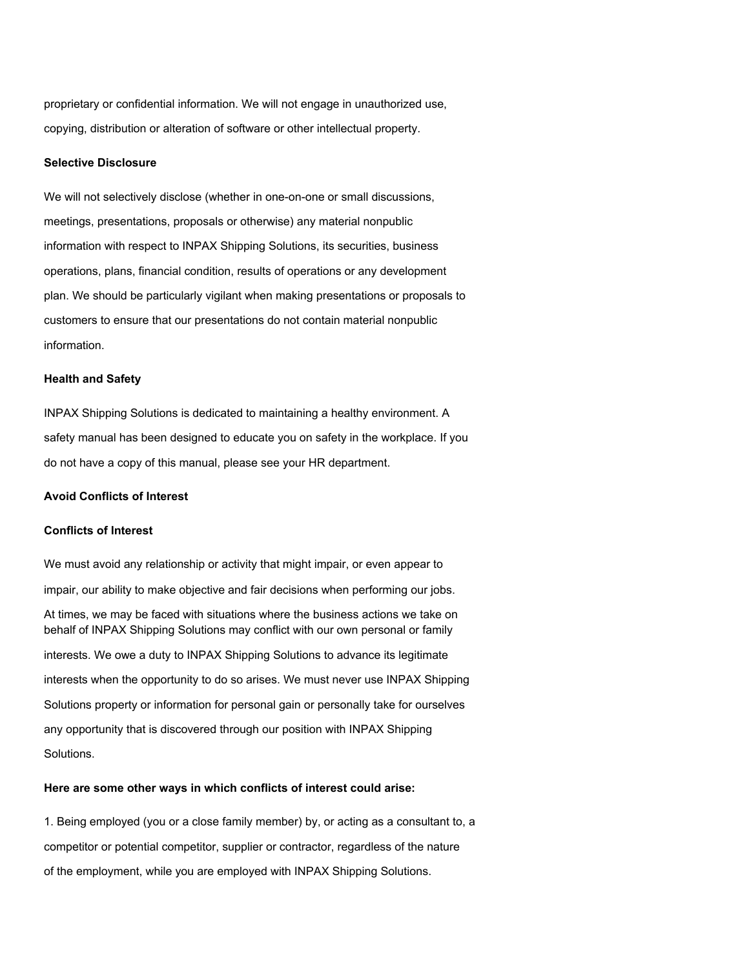proprietary or confidential information. We will not engage in unauthorized use, copying, distribution or alteration of software or other intellectual property.

#### **Selective Disclosure**

We will not selectively disclose (whether in one-on-one or small discussions, meetings, presentations, proposals or otherwise) any material nonpublic information with respect to INPAX Shipping Solutions, its securities, business operations, plans, financial condition, results of operations or any development plan. We should be particularly vigilant when making presentations or proposals to customers to ensure that our presentations do not contain material nonpublic information.

#### **Health and Safety**

INPAX Shipping Solutions is dedicated to maintaining a healthy environment. A safety manual has been designed to educate you on safety in the workplace. If you do not have a copy of this manual, please see your HR department.

#### **Avoid Conflicts of Interest**

#### **Conflicts of Interest**

We must avoid any relationship or activity that might impair, or even appear to impair, our ability to make objective and fair decisions when performing our jobs. At times, we may be faced with situations where the business actions we take on behalf of INPAX Shipping Solutions may conflict with our own personal or family interests. We owe a duty to INPAX Shipping Solutions to advance its legitimate interests when the opportunity to do so arises. We must never use INPAX Shipping Solutions property or information for personal gain or personally take for ourselves any opportunity that is discovered through our position with INPAX Shipping Solutions.

#### **Here are some other ways in which conflicts of interest could arise:**

1. Being employed (you or a close family member) by, or acting as a consultant to, a competitor or potential competitor, supplier or contractor, regardless of the nature of the employment, while you are employed with INPAX Shipping Solutions.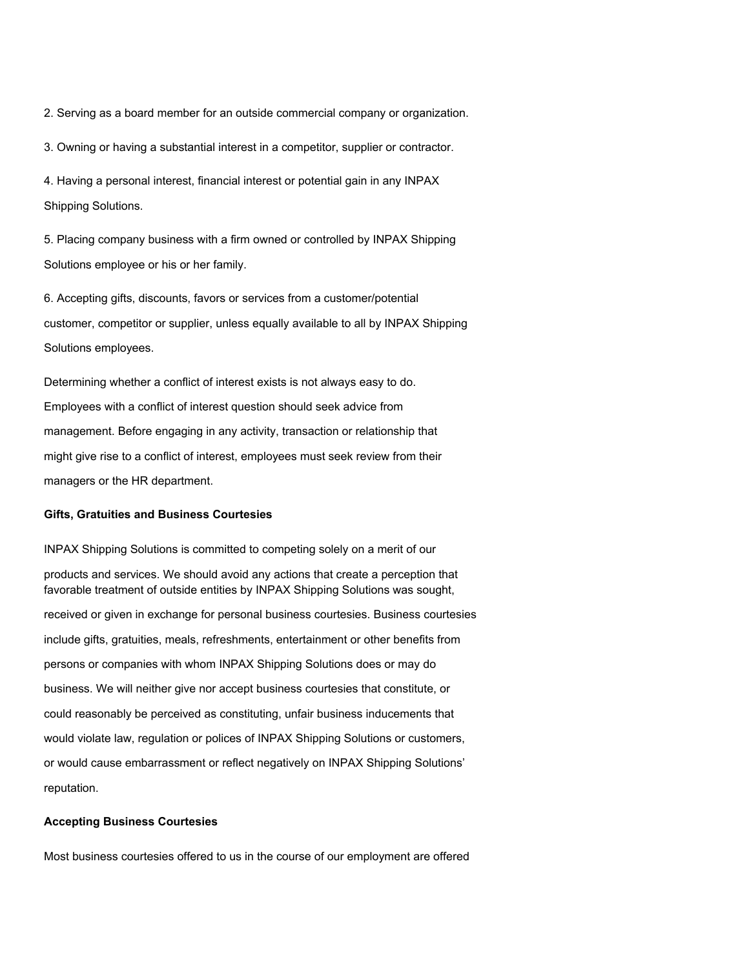2. Serving as a board member for an outside commercial company or organization.

3. Owning or having a substantial interest in a competitor, supplier or contractor.

4. Having a personal interest, financial interest or potential gain in any INPAX Shipping Solutions.

5. Placing company business with a firm owned or controlled by INPAX Shipping Solutions employee or his or her family.

6. Accepting gifts, discounts, favors or services from a customer/potential customer, competitor or supplier, unless equally available to all by INPAX Shipping Solutions employees.

Determining whether a conflict of interest exists is not always easy to do. Employees with a conflict of interest question should seek advice from management. Before engaging in any activity, transaction or relationship that might give rise to a conflict of interest, employees must seek review from their managers or the HR department.

#### **Gifts, Gratuities and Business Courtesies**

INPAX Shipping Solutions is committed to competing solely on a merit of our products and services. We should avoid any actions that create a perception that favorable treatment of outside entities by INPAX Shipping Solutions was sought, received or given in exchange for personal business courtesies. Business courtesies include gifts, gratuities, meals, refreshments, entertainment or other benefits from persons or companies with whom INPAX Shipping Solutions does or may do business. We will neither give nor accept business courtesies that constitute, or could reasonably be perceived as constituting, unfair business inducements that would violate law, regulation or polices of INPAX Shipping Solutions or customers, or would cause embarrassment or reflect negatively on INPAX Shipping Solutions' reputation.

#### **Accepting Business Courtesies**

Most business courtesies offered to us in the course of our employment are offered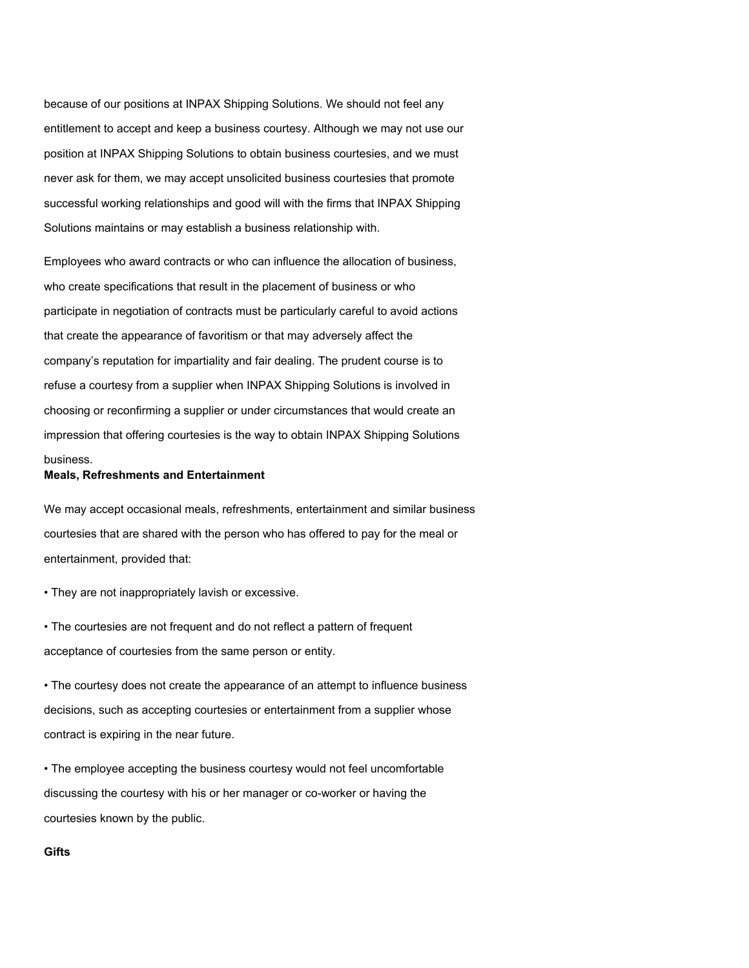because of our positions at INPAX Shipping Solutions. We should not feel any entitlement to accept and keep a business courtesy. Although we may not use our position at INPAX Shipping Solutions to obtain business courtesies, and we must never ask for them, we may accept unsolicited business courtesies that promote successful working relationships and good will with the firms that INPAX Shipping Solutions maintains or may establish a business relationship with.

Employees who award contracts or who can influence the allocation of business, who create specifications that result in the placement of business or who participate in negotiation of contracts must be particularly careful to avoid actions that create the appearance of favoritism or that may adversely affect the company's reputation for impartiality and fair dealing. The prudent course is to refuse a courtesy from a supplier when INPAX Shipping Solutions is involved in choosing or reconfirming a supplier or under circumstances that would create an impression that offering courtesies is the way to obtain INPAX Shipping Solutions business.

#### **Meals, Refreshments and Entertainment**

We may accept occasional meals, refreshments, entertainment and similar business courtesies that are shared with the person who has offered to pay for the meal or entertainment, provided that:

• They are not inappropriately lavish or excessive.

• The courtesies are not frequent and do not reflect a pattern of frequent acceptance of courtesies from the same person or entity.

• The courtesy does not create the appearance of an attempt to influence business decisions, such as accepting courtesies or entertainment from a supplier whose contract is expiring in the near future.

• The employee accepting the business courtesy would not feel uncomfortable discussing the courtesy with his or her manager or co-worker or having the courtesies known by the public.

#### **Gifts**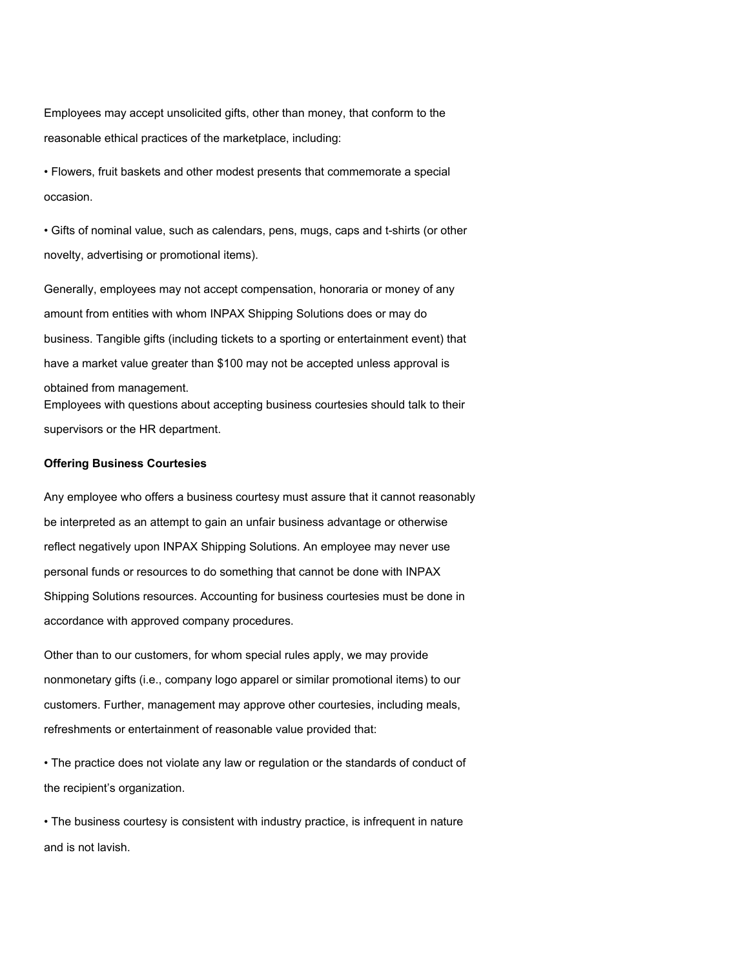Employees may accept unsolicited gifts, other than money, that conform to the reasonable ethical practices of the marketplace, including:

• Flowers, fruit baskets and other modest presents that commemorate a special occasion.

• Gifts of nominal value, such as calendars, pens, mugs, caps and t-shirts (or other novelty, advertising or promotional items).

Generally, employees may not accept compensation, honoraria or money of any amount from entities with whom INPAX Shipping Solutions does or may do business. Tangible gifts (including tickets to a sporting or entertainment event) that have a market value greater than \$100 may not be accepted unless approval is obtained from management. Employees with questions about accepting business courtesies should talk to their supervisors or the HR department.

#### **Offering Business Courtesies**

Any employee who offers a business courtesy must assure that it cannot reasonably be interpreted as an attempt to gain an unfair business advantage or otherwise reflect negatively upon INPAX Shipping Solutions. An employee may never use personal funds or resources to do something that cannot be done with INPAX Shipping Solutions resources. Accounting for business courtesies must be done in accordance with approved company procedures.

Other than to our customers, for whom special rules apply, we may provide nonmonetary gifts (i.e., company logo apparel or similar promotional items) to our customers. Further, management may approve other courtesies, including meals, refreshments or entertainment of reasonable value provided that:

• The practice does not violate any law or regulation or the standards of conduct of the recipient's organization.

• The business courtesy is consistent with industry practice, is infrequent in nature and is not lavish.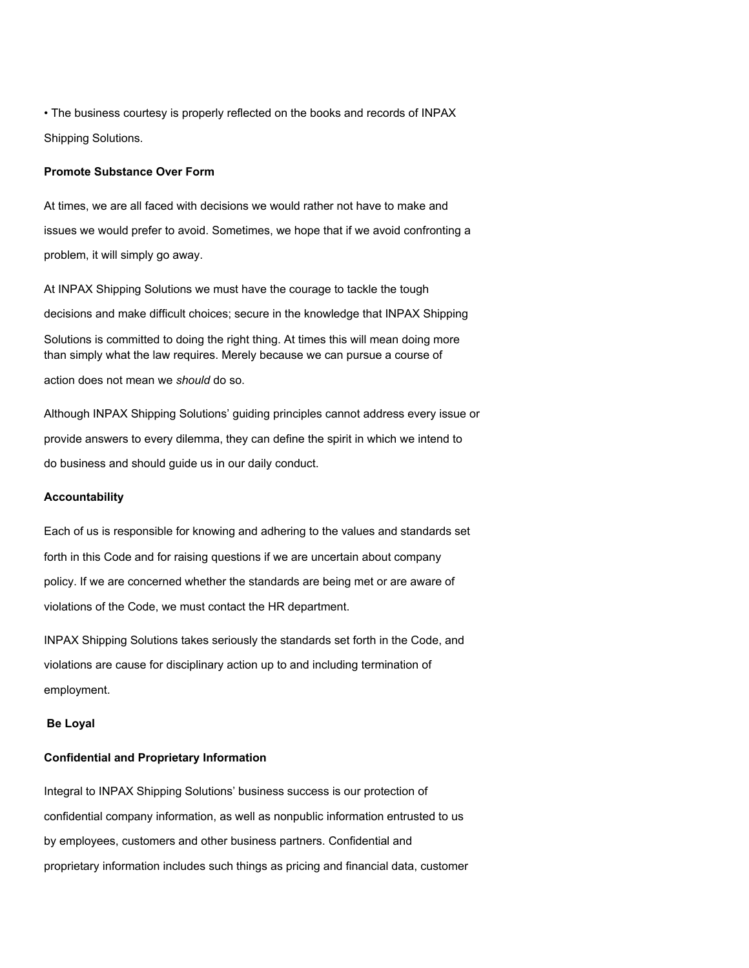• The business courtesy is properly reflected on the books and records of INPAX Shipping Solutions.

#### **Promote Substance Over Form**

At times, we are all faced with decisions we would rather not have to make and issues we would prefer to avoid. Sometimes, we hope that if we avoid confronting a problem, it will simply go away.

At INPAX Shipping Solutions we must have the courage to tackle the tough decisions and make difficult choices; secure in the knowledge that INPAX Shipping Solutions is committed to doing the right thing. At times this will mean doing more than simply what the law requires. Merely because we can pursue a course of action does not mean we *should* do so.

Although INPAX Shipping Solutions' guiding principles cannot address every issue or provide answers to every dilemma, they can define the spirit in which we intend to do business and should guide us in our daily conduct.

#### **Accountability**

Each of us is responsible for knowing and adhering to the values and standards set forth in this Code and for raising questions if we are uncertain about company policy. If we are concerned whether the standards are being met or are aware of violations of the Code, we must contact the HR department.

INPAX Shipping Solutions takes seriously the standards set forth in the Code, and violations are cause for disciplinary action up to and including termination of employment.

#### **Be Loyal**

#### **Confidential and Proprietary Information**

Integral to INPAX Shipping Solutions' business success is our protection of confidential company information, as well as nonpublic information entrusted to us by employees, customers and other business partners. Confidential and proprietary information includes such things as pricing and financial data, customer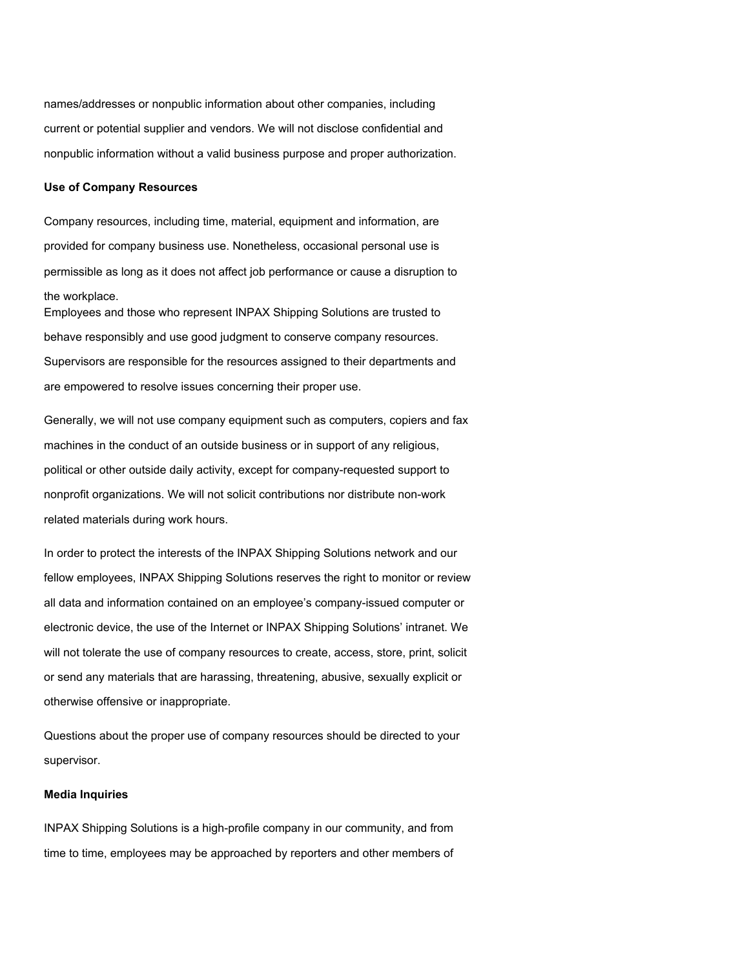names/addresses or nonpublic information about other companies, including current or potential supplier and vendors. We will not disclose confidential and nonpublic information without a valid business purpose and proper authorization.

### **Use of Company Resources**

Company resources, including time, material, equipment and information, are provided for company business use. Nonetheless, occasional personal use is permissible as long as it does not affect job performance or cause a disruption to the workplace.

Employees and those who represent INPAX Shipping Solutions are trusted to behave responsibly and use good judgment to conserve company resources. Supervisors are responsible for the resources assigned to their departments and are empowered to resolve issues concerning their proper use.

Generally, we will not use company equipment such as computers, copiers and fax machines in the conduct of an outside business or in support of any religious, political or other outside daily activity, except for company-requested support to nonprofit organizations. We will not solicit contributions nor distribute non-work related materials during work hours.

In order to protect the interests of the INPAX Shipping Solutions network and our fellow employees, INPAX Shipping Solutions reserves the right to monitor or review all data and information contained on an employee's company-issued computer or electronic device, the use of the Internet or INPAX Shipping Solutions' intranet. We will not tolerate the use of company resources to create, access, store, print, solicit or send any materials that are harassing, threatening, abusive, sexually explicit or otherwise offensive or inappropriate.

Questions about the proper use of company resources should be directed to your supervisor.

#### **Media Inquiries**

INPAX Shipping Solutions is a high-profile company in our community, and from time to time, employees may be approached by reporters and other members of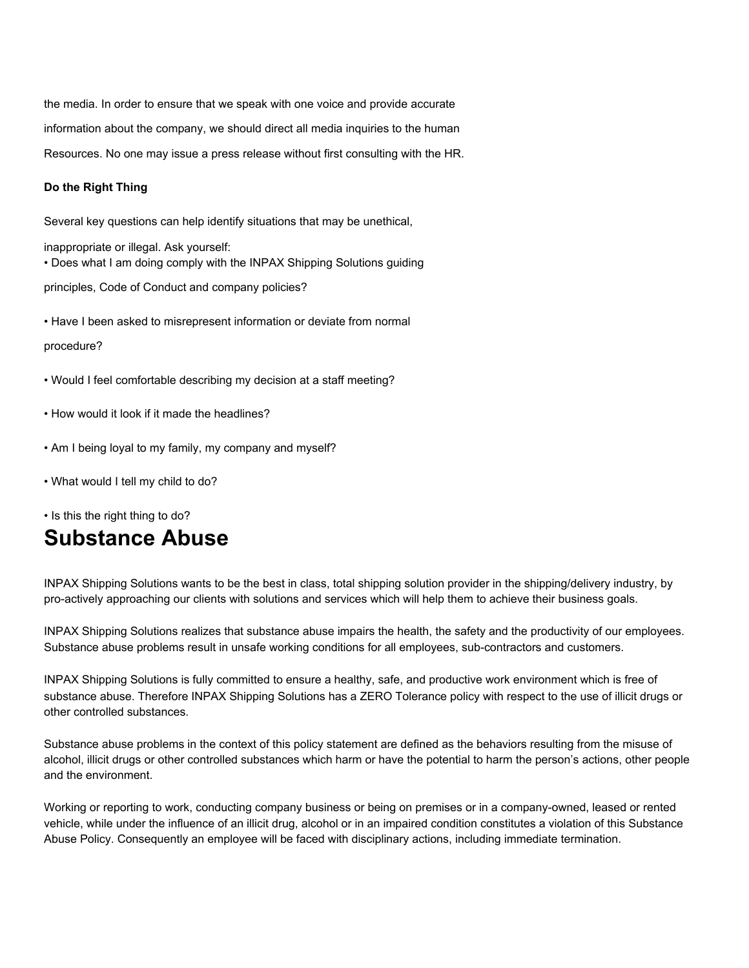the media. In order to ensure that we speak with one voice and provide accurate information about the company, we should direct all media inquiries to the human Resources. No one may issue a press release without first consulting with the HR.

#### **Do the Right Thing**

Several key questions can help identify situations that may be unethical,

inappropriate or illegal. Ask yourself: • Does what I am doing comply with the INPAX Shipping Solutions guiding

principles, Code of Conduct and company policies?

• Have I been asked to misrepresent information or deviate from normal

#### procedure?

- Would I feel comfortable describing my decision at a staff meeting?
- How would it look if it made the headlines?
- Am I being loyal to my family, my company and myself?
- What would I tell my child to do?

• Is this the right thing to do?

## **Substance Abuse**

INPAX Shipping Solutions wants to be the best in class, total shipping solution provider in the shipping/delivery industry, by pro-actively approaching our clients with solutions and services which will help them to achieve their business goals.

INPAX Shipping Solutions realizes that substance abuse impairs the health, the safety and the productivity of our employees. Substance abuse problems result in unsafe working conditions for all employees, sub-contractors and customers.

INPAX Shipping Solutions is fully committed to ensure a healthy, safe, and productive work environment which is free of substance abuse. Therefore INPAX Shipping Solutions has a ZERO Tolerance policy with respect to the use of illicit drugs or other controlled substances.

Substance abuse problems in the context of this policy statement are defined as the behaviors resulting from the misuse of alcohol, illicit drugs or other controlled substances which harm or have the potential to harm the person's actions, other people and the environment.

Working or reporting to work, conducting company business or being on premises or in a company-owned, leased or rented vehicle, while under the influence of an illicit drug, alcohol or in an impaired condition constitutes a violation of this Substance Abuse Policy. Consequently an employee will be faced with disciplinary actions, including immediate termination.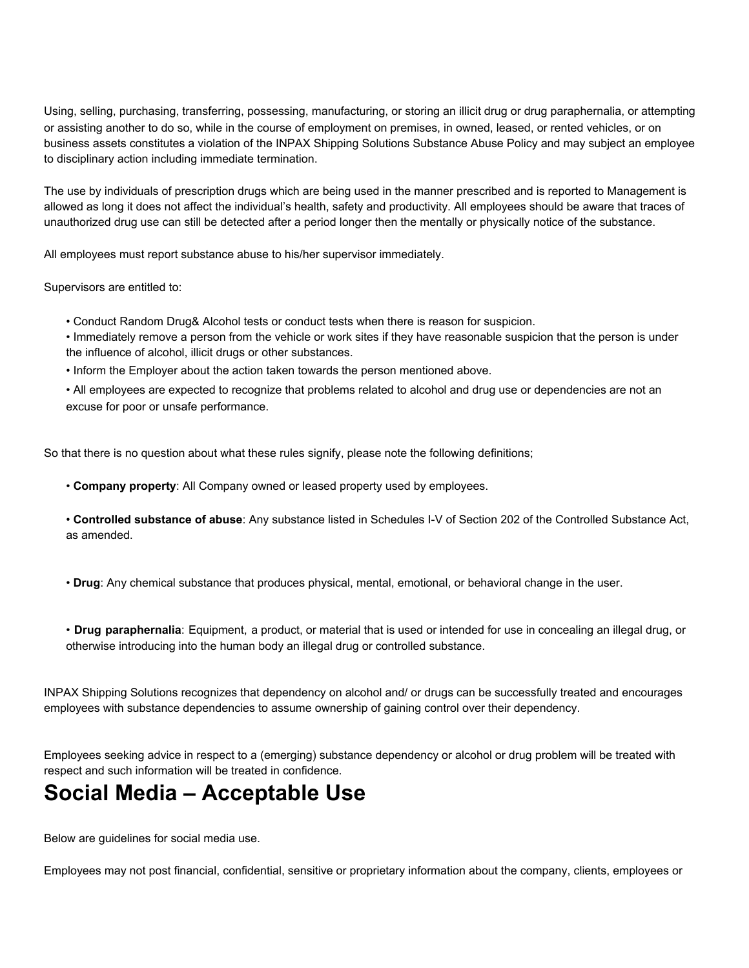Using, selling, purchasing, transferring, possessing, manufacturing, or storing an illicit drug or drug paraphernalia, or attempting or assisting another to do so, while in the course of employment on premises, in owned, leased, or rented vehicles, or on business assets constitutes a violation of the INPAX Shipping Solutions Substance Abuse Policy and may subject an employee to disciplinary action including immediate termination.

The use by individuals of prescription drugs which are being used in the manner prescribed and is reported to Management is allowed as long it does not affect the individual's health, safety and productivity. All employees should be aware that traces of unauthorized drug use can still be detected after a period longer then the mentally or physically notice of the substance.

All employees must report substance abuse to his/her supervisor immediately.

Supervisors are entitled to:

- Conduct Random Drug& Alcohol tests or conduct tests when there is reason for suspicion.
- Immediately remove a person from the vehicle or work sites if they have reasonable suspicion that the person is under the influence of alcohol, illicit drugs or other substances.
- Inform the Employer about the action taken towards the person mentioned above.
- All employees are expected to recognize that problems related to alcohol and drug use or dependencies are not an excuse for poor or unsafe performance.

So that there is no question about what these rules signify, please note the following definitions;

- **Company property**: All Company owned or leased property used by employees.
- **Controlled substance of abuse**: Any substance listed in Schedules I-V of Section 202 of the Controlled Substance Act, as amended.
- **Drug**: Any chemical substance that produces physical, mental, emotional, or behavioral change in the user.
- **Drug paraphernalia**: Equipment, a product, or material that is used or intended for use in concealing an illegal drug, or otherwise introducing into the human body an illegal drug or controlled substance.

INPAX Shipping Solutions recognizes that dependency on alcohol and/ or drugs can be successfully treated and encourages employees with substance dependencies to assume ownership of gaining control over their dependency.

Employees seeking advice in respect to a (emerging) substance dependency or alcohol or drug problem will be treated with respect and such information will be treated in confidence.

# **Social Media – Acceptable Use**

Below are guidelines for social media use.

Employees may not post financial, confidential, sensitive or proprietary information about the company, clients, employees or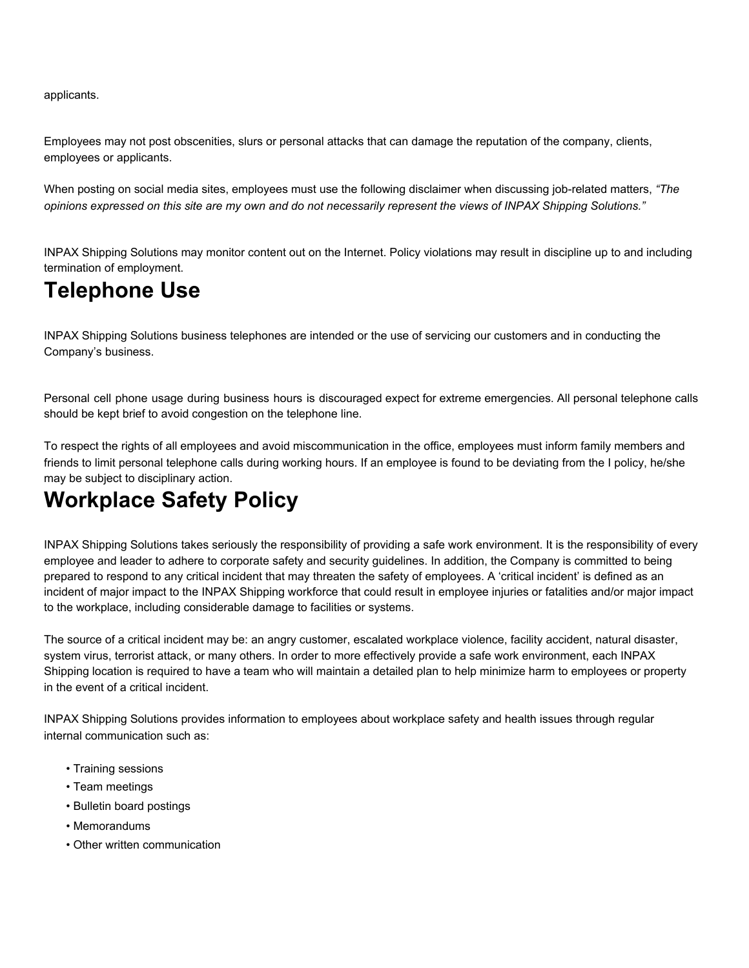applicants.

Employees may not post obscenities, slurs or personal attacks that can damage the reputation of the company, clients, employees or applicants.

When posting on social media sites, employees must use the following disclaimer when discussing job-related matters, *"The* opinions expressed on this site are my own and do not necessarily represent the views of INPAX Shipping Solutions."

INPAX Shipping Solutions may monitor content out on the Internet. Policy violations may result in discipline up to and including termination of employment.

# **Telephone Use**

INPAX Shipping Solutions business telephones are intended or the use of servicing our customers and in conducting the Company's business.

Personal cell phone usage during business hours is discouraged expect for extreme emergencies. All personal telephone calls should be kept brief to avoid congestion on the telephone line.

To respect the rights of all employees and avoid miscommunication in the office, employees must inform family members and friends to limit personal telephone calls during working hours. If an employee is found to be deviating from the I policy, he/she may be subject to disciplinary action.

# **Workplace Safety Policy**

INPAX Shipping Solutions takes seriously the responsibility of providing a safe work environment. It is the responsibility of every employee and leader to adhere to corporate safety and security guidelines. In addition, the Company is committed to being prepared to respond to any critical incident that may threaten the safety of employees. A 'critical incident' is defined as an incident of major impact to the INPAX Shipping workforce that could result in employee injuries or fatalities and/or major impact to the workplace, including considerable damage to facilities or systems.

The source of a critical incident may be: an angry customer, escalated workplace violence, facility accident, natural disaster, system virus, terrorist attack, or many others. In order to more effectively provide a safe work environment, each INPAX Shipping location is required to have a team who will maintain a detailed plan to help minimize harm to employees or property in the event of a critical incident.

INPAX Shipping Solutions provides information to employees about workplace safety and health issues through regular internal communication such as:

- Training sessions
- Team meetings
- Bulletin board postings
- Memorandums
- Other written communication